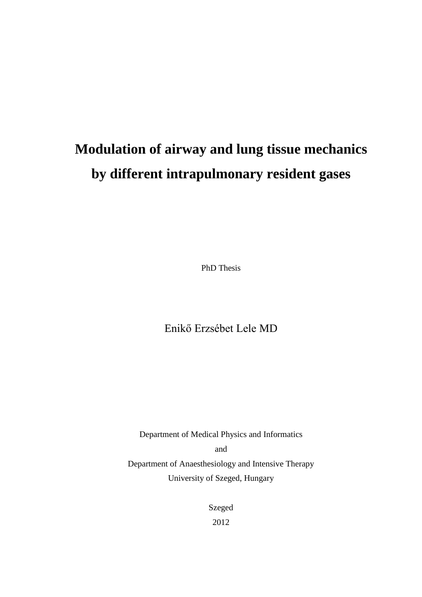# **Modulation of airway and lung tissue mechanics by different intrapulmonary resident gases**

PhD Thesis

Enikő Erzsébet Lele MD

Department of Medical Physics and Informatics and Department of Anaesthesiology and Intensive Therapy University of Szeged, Hungary

> Szeged 2012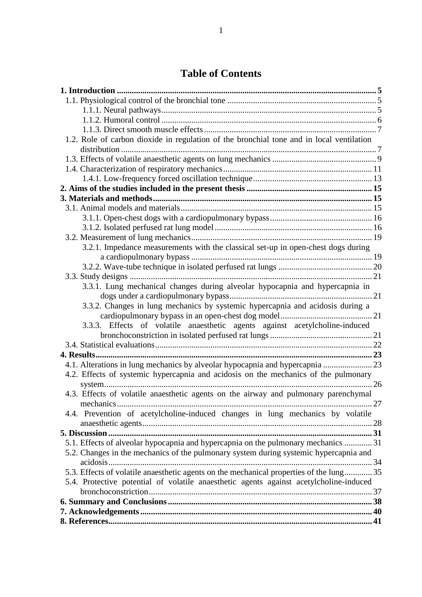### **Table of Contents**

| 1.2. Role of carbon dioxide in regulation of the bronchial tone and in local ventilation |  |
|------------------------------------------------------------------------------------------|--|
|                                                                                          |  |
|                                                                                          |  |
|                                                                                          |  |
|                                                                                          |  |
|                                                                                          |  |
|                                                                                          |  |
|                                                                                          |  |
|                                                                                          |  |
|                                                                                          |  |
|                                                                                          |  |
| 3.2.1. Impedance measurements with the classical set-up in open-chest dogs during        |  |
|                                                                                          |  |
|                                                                                          |  |
|                                                                                          |  |
| 3.3.1. Lung mechanical changes during alveolar hypocapnia and hypercapnia in             |  |
|                                                                                          |  |
| 3.3.2. Changes in lung mechanics by systemic hypercapnia and acidosis during a           |  |
|                                                                                          |  |
| 3.3.3. Effects of volatile anaesthetic agents against acetylcholine-induced              |  |
|                                                                                          |  |
|                                                                                          |  |
|                                                                                          |  |
| 4.1. Alterations in lung mechanics by alveolar hypocapnia and hypercapnia  23            |  |
| 4.2. Effects of systemic hypercapnia and acidosis on the mechanics of the pulmonary      |  |
|                                                                                          |  |
| 4.3. Effects of volatile anaesthetic agents on the airway and pulmonary parenchymal      |  |
| mechanics                                                                                |  |
| 4.4. Prevention of acetylcholine-induced changes in lung mechanics by volatile           |  |
|                                                                                          |  |
|                                                                                          |  |
| 5.1. Effects of alveolar hypocapnia and hypercapnia on the pulmonary mechanics  31       |  |
| 5.2. Changes in the mechanics of the pulmonary system during systemic hypercapnia and    |  |
|                                                                                          |  |
| 5.3. Effects of volatile anaesthetic agents on the mechanical properties of the lung 35  |  |
| 5.4. Protective potential of volatile anaesthetic agents against acetylcholine-induced   |  |
|                                                                                          |  |
|                                                                                          |  |
|                                                                                          |  |
|                                                                                          |  |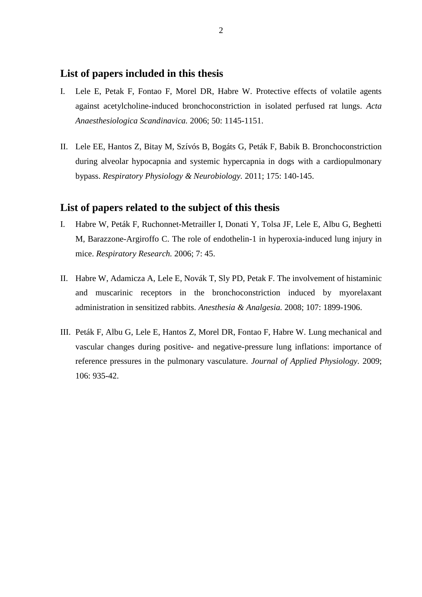### **List of papers included in this thesis**

- I. Lele E, Petak F, Fontao F, Morel DR, Habre W. Protective effects of volatile agents against acetylcholine-induced bronchoconstriction in isolated perfused rat lungs. *Acta Anaesthesiologica Scandinavica.* 2006; 50: 1145-1151.
- II. Lele EE, Hantos Z, Bitay M, Szívós B, Bogáts G, Peták F, Babik B. Bronchoconstriction during alveolar hypocapnia and systemic hypercapnia in dogs with a cardiopulmonary bypass. *Respiratory Physiology & Neurobiology.* 2011; 175: 140-145.

#### **List of papers related to the subject of this thesis**

- I. Habre W, Peták F, Ruchonnet-Metrailler I, Donati Y, Tolsa JF, Lele E, Albu G, Beghetti M, Barazzone-Argiroffo C. The role of endothelin-1 in hyperoxia-induced lung injury in mice. *[Respiratory](http://respiratory-research.com/) Research.* 2006; 7: 45.
- II. Habre W, Adamicza A, Lele E, Novák T, Sly PD, Petak F. [The involvement of histaminic](http://www.ncbi.nlm.nih.gov/pubmed/19020136)  [and muscarinic receptors in the bronchoconstriction induced by myorelaxant](http://www.ncbi.nlm.nih.gov/pubmed/19020136)  [administration in sensitized rabbits.](http://www.ncbi.nlm.nih.gov/pubmed/19020136) *[Anesthesia & Analgesia.](http://www.anesthesia-analgesia.org/)* 2008; 107: 1899-1906.
- III. Peták F, Albu G, Lele E, Hantos Z, Morel DR, Fontao F, Habre W. [Lung mechanical and](http://www.ncbi.nlm.nih.gov/pubmed/19112162)  vascular changes during positive- [and negative-pressure lung inflations: importance of](http://www.ncbi.nlm.nih.gov/pubmed/19112162)  [reference pressures in the pulmonary vasculature.](http://www.ncbi.nlm.nih.gov/pubmed/19112162) *[Journal of Applied Physiology.](http://jap.physiology.org/)* 2009; 106: 935-42.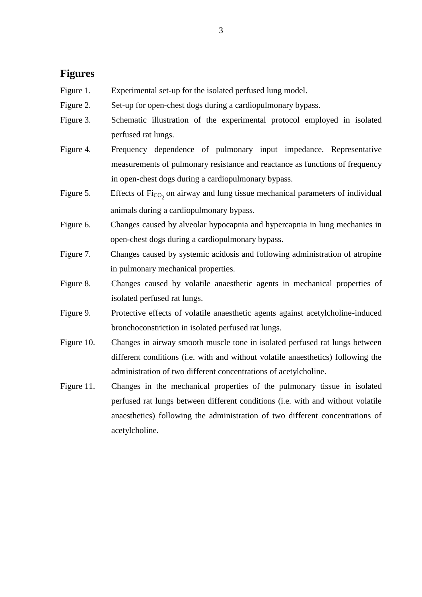### **Figures**

- Figure 1. Experimental set-up for the isolated perfused lung model.
- Figure 2. Set-up for open-chest dogs during a cardiopulmonary bypass.
- Figure 3. Schematic illustration of the experimental protocol employed in isolated perfused rat lungs.
- Figure 4. Frequency dependence of pulmonary input impedance. Representative measurements of pulmonary resistance and reactance as functions of frequency in open-chest dogs during a cardiopulmonary bypass.
- Figure 5. Effects of  $\text{Fi}_{\text{CO}_2}$  on airway and lung tissue mechanical parameters of individual animals during a cardiopulmonary bypass.
- Figure 6. Changes caused by alveolar hypocapnia and hypercapnia in lung mechanics in open-chest dogs during a cardiopulmonary bypass.
- Figure 7. Changes caused by systemic acidosis and following administration of atropine in pulmonary mechanical properties.
- Figure 8. Changes caused by volatile anaesthetic agents in mechanical properties of isolated perfused rat lungs.
- Figure 9. Protective effects of volatile anaesthetic agents against acetylcholine-induced bronchoconstriction in isolated perfused rat lungs.
- Figure 10. Changes in airway smooth muscle tone in isolated perfused rat lungs between different conditions (i.e. with and without volatile anaesthetics) following the administration of two different concentrations of acetylcholine.
- Figure 11. Changes in the mechanical properties of the pulmonary tissue in isolated perfused rat lungs between different conditions (i.e. with and without volatile anaesthetics) following the administration of two different concentrations of acetylcholine.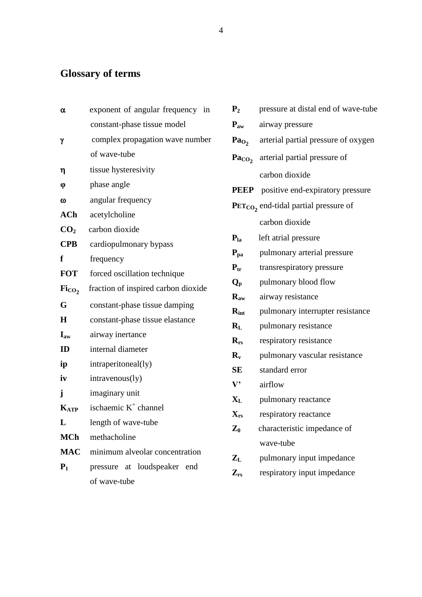# **Glossary of terms**

| α                             | exponent of angular frequency in    | P <sub>2</sub>            | pressure at distal end of wave-tube   |
|-------------------------------|-------------------------------------|---------------------------|---------------------------------------|
|                               | constant-phase tissue model         | $P_{aw}$                  | airway pressure                       |
| γ                             | complex propagation wave number     | Pa <sub>O</sub>           | arterial partial pressure of oxygen   |
|                               | of wave-tube                        | Pa <sub>CO</sub>          | arterial partial pressure of          |
| η                             | tissue hysteresivity                |                           | carbon dioxide                        |
| φ                             | phase angle                         | <b>PEEP</b>               | positive end-expiratory pressure      |
| $\omega$                      | angular frequency                   |                           | $PETCO$ end-tidal partial pressure of |
| ACh                           | acetylcholine                       |                           | carbon dioxide                        |
| CO <sub>2</sub>               | carbon dioxide                      | $P_{1a}$                  | left atrial pressure                  |
| <b>CPB</b>                    | cardiopulmonary bypass              |                           |                                       |
| f                             | frequency                           | $P_{pa}$                  | pulmonary arterial pressure           |
| <b>FOT</b>                    | forced oscillation technique        | $P_{tr}$                  | transrespiratory pressure             |
| $\mathrm{Fi}_{\mathrm{CO}_2}$ | fraction of inspired carbon dioxide | $Q_{p}$                   | pulmonary blood flow                  |
| G                             | constant-phase tissue damping       | $R_{aw}$                  | airway resistance                     |
| Η                             | constant-phase tissue elastance     | $R_{int}$                 | pulmonary interrupter resistance      |
| $\mathbf{I}_{\text{aw}}$      | airway inertance                    | $R_{L}$                   | pulmonary resistance                  |
| ID                            | internal diameter                   | $R_{rs}$                  | respiratory resistance                |
| ip                            | intraperitoneal(ly)                 | $\mathbf{R}_{\mathbf{v}}$ | pulmonary vascular resistance         |
| iv                            | intravenous(ly)                     | <b>SE</b>                 | standard error                        |
|                               | imaginary unit                      | $\mathbf{V}$              | airflow                               |
| j                             |                                     | $\mathbf{X}_{\mathbf{L}}$ | pulmonary reactance                   |
| $K_{ATP}$                     | ischaemic $K^+$ channel             | $\mathbf{X}_{rs}$         | respiratory reactance                 |
| $\mathbf L$                   | length of wave-tube                 | $\mathbf{Z}_0$            | characteristic impedance of           |
| MCh                           | methacholine                        |                           | wave-tube                             |
| <b>MAC</b>                    | minimum alveolar concentration      | $\mathbf{Z}_{\mathrm{L}}$ | pulmonary input impedance             |
| $P_1$                         | pressure at loudspeaker end         | $\mathbf{Z}_{rs}$         | respiratory input impedance           |
|                               | of wave-tube                        |                           |                                       |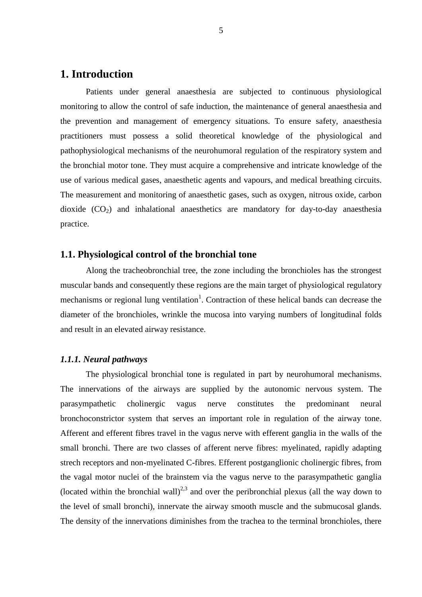### **1. Introduction**

Patients under general anaesthesia are subjected to continuous physiological monitoring to allow the control of safe induction, the maintenance of general anaesthesia and the prevention and management of emergency situations. To ensure safety, anaesthesia practitioners must possess a solid theoretical knowledge of the physiological and pathophysiological mechanisms of the neurohumoral regulation of the respiratory system and the bronchial motor tone. They must acquire a comprehensive and intricate knowledge of the use of various medical gases, anaesthetic agents and vapours, and medical breathing circuits. The measurement and monitoring of anaesthetic gases, such as oxygen, nitrous oxide, carbon dioxide  $(CO_2)$  and inhalational anaesthetics are mandatory for day-to-day anaesthesia practice.

#### **1.1. Physiological control of the bronchial tone**

Along the tracheobronchial tree, the zone including the bronchioles has the strongest muscular bands and consequently these regions are the main target of physiological regulatory mechanisms or regional lung ventilation<sup>1</sup>. Contraction of these helical bands can decrease the diameter of the bronchioles, wrinkle the mucosa into varying numbers of longitudinal folds and result in an elevated airway resistance.

#### *1.1.1. Neural pathways*

The physiological bronchial tone is regulated in part by neurohumoral mechanisms. The innervations of the airways are supplied by the autonomic nervous system. The parasympathetic cholinergic vagus nerve constitutes the predominant neural bronchoconstrictor system that serves an important role in regulation of the airway tone. Afferent and efferent fibres travel in the vagus nerve with efferent ganglia in the walls of the small bronchi. There are two classes of afferent nerve fibres: myelinated, rapidly adapting strech receptors and non-myelinated C-fibres. Efferent postganglionic cholinergic fibres, from the vagal motor nuclei of the brainstem via the vagus nerve to the parasympathetic ganglia (located within the bronchial wall)<sup>2,3</sup> and over the peribronchial plexus (all the way down to the level of small bronchi), innervate the airway smooth muscle and the submucosal glands. The density of the innervations diminishes from the trachea to the terminal bronchioles, there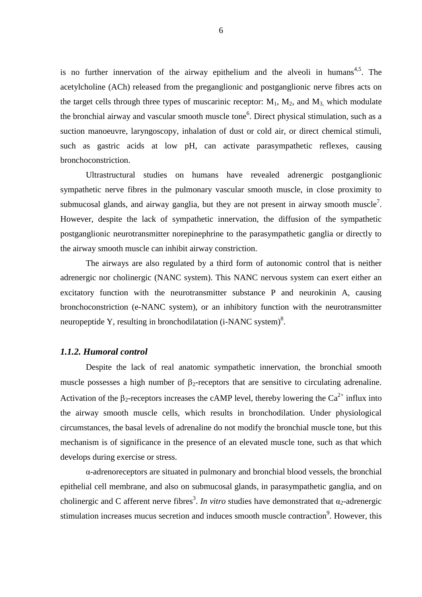is no further innervation of the airway epithelium and the alveoli in humans<sup>4,5</sup>. The acetylcholine (ACh) released from the preganglionic and postganglionic nerve fibres acts on the target cells through three types of muscarinic receptor:  $M_1$ ,  $M_2$ , and  $M_3$ , which modulate the bronchial airway and vascular smooth muscle tone<sup>6</sup>. Direct physical stimulation, such as a suction manoeuvre, laryngoscopy, inhalation of dust or cold air, or direct chemical stimuli, such as gastric acids at low pH, can activate parasympathetic reflexes, causing bronchoconstriction.

Ultrastructural studies on humans have revealed adrenergic postganglionic sympathetic nerve fibres in the pulmonary vascular smooth muscle, in close proximity to submucosal glands, and airway ganglia, but they are not present in airway smooth muscle<sup>7</sup>. However, despite the lack of sympathetic innervation, the diffusion of the sympathetic postganglionic neurotransmitter norepinephrine to the parasympathetic ganglia or directly to the airway smooth muscle can inhibit airway constriction.

The airways are also regulated by a third form of autonomic control that is neither adrenergic nor cholinergic (NANC system). This NANC nervous system can exert either an excitatory function with the neurotransmitter substance P and neurokinin A, causing bronchoconstriction (e-NANC system), or an inhibitory function with the neurotransmitter neuropeptide Y, resulting in bronchodilatation (i-NANC system)<sup>8</sup>.

#### *1.1.2. Humoral control*

Despite the lack of real anatomic sympathetic innervation, the bronchial smooth muscle possesses a high number of  $\beta_2$ -receptors that are sensitive to circulating adrenaline. Activation of the  $\beta_2$ -receptors increases the cAMP level, thereby lowering the Ca<sup>2+</sup> influx into the airway smooth muscle cells, which results in bronchodilation. Under physiological circumstances, the basal levels of adrenaline do not modify the bronchial muscle tone, but this mechanism is of significance in the presence of an elevated muscle tone, such as that which develops during exercise or stress.

α-adrenoreceptors are situated in pulmonary and bronchial blood vessels, the bronchial epithelial cell membrane, and also on submucosal glands, in parasympathetic ganglia, and on cholinergic and C afferent nerve fibres<sup>3</sup>. *In vitro* studies have demonstrated that  $\alpha_2$ -adrenergic stimulation increases mucus secretion and induces smooth muscle contraction<sup>9</sup>. However, this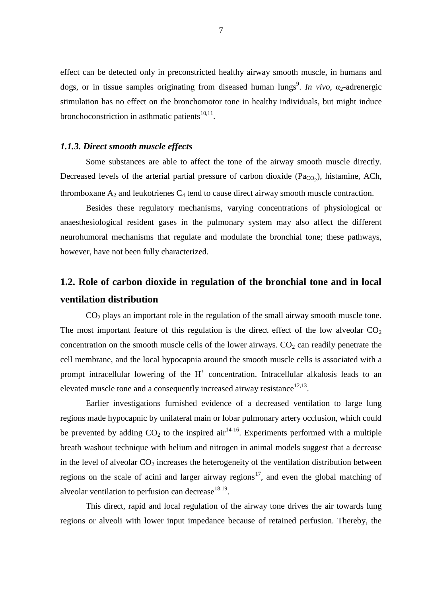effect can be detected only in preconstricted healthy airway smooth muscle, in humans and dogs, or in tissue samples originating from diseased human lungs<sup>9</sup>. In *vivo*,  $\alpha_2$ -adrenergic stimulation has no effect on the bronchomotor tone in healthy individuals, but might induce bronchoconstriction in asthmatic patients $10,11$ .

#### *1.1.3. Direct smooth muscle effects*

Some substances are able to affect the tone of the airway smooth muscle directly. Decreased levels of the arterial partial pressure of carbon dioxide  $(Pa_{CO_2})$ , histamine, ACh, thromboxane  $A_2$  and leukotrienes  $C_4$  tend to cause direct airway smooth muscle contraction.

Besides these regulatory mechanisms, varying concentrations of physiological or anaesthesiological resident gases in the pulmonary system may also affect the different neurohumoral mechanisms that regulate and modulate the bronchial tone; these pathways, however, have not been fully characterized.

# **1.2. Role of carbon dioxide in regulation of the bronchial tone and in local ventilation distribution**

CO<sup>2</sup> plays an important role in the regulation of the small airway smooth muscle tone. The most important feature of this regulation is the direct effect of the low alveolar  $CO<sub>2</sub>$ concentration on the smooth muscle cells of the lower airways.  $CO<sub>2</sub>$  can readily penetrate the cell membrane, and the local hypocapnia around the smooth muscle cells is associated with a prompt intracellular lowering of the  $H^+$  concentration. Intracellular alkalosis leads to an elevated muscle tone and a consequently increased airway resistance  $12,13$ .

Earlier investigations furnished evidence of a decreased ventilation to large lung regions made hypocapnic by unilateral main or lobar pulmonary artery occlusion, which could be prevented by adding  $CO_2$  to the inspired air  $14-16$ . Experiments performed with a multiple breath washout technique with helium and nitrogen in animal models suggest that a decrease in the level of alveolar  $CO<sub>2</sub>$  increases the heterogeneity of the ventilation distribution between regions on the scale of acini and larger airway regions<sup>17</sup>, and even the global matching of alveolar ventilation to perfusion can decrease $^{18,19}$ .

This direct, rapid and local regulation of the airway tone drives the air towards lung regions or alveoli with lower input impedance because of retained perfusion. Thereby, the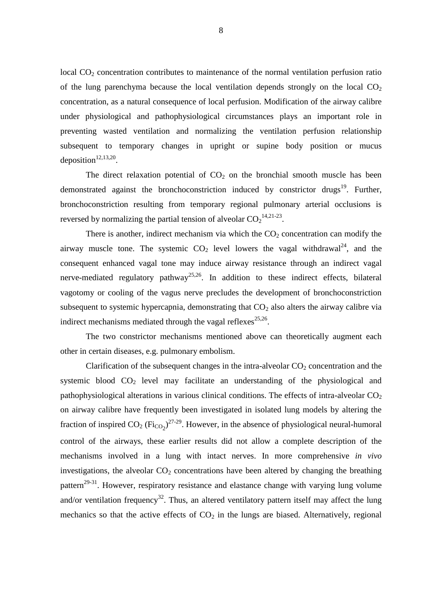local  $CO<sub>2</sub>$  concentration contributes to maintenance of the normal ventilation perfusion ratio of the lung parenchyma because the local ventilation depends strongly on the local  $CO<sub>2</sub>$ concentration, as a natural consequence of local perfusion. Modification of the airway calibre under physiological and pathophysiological circumstances plays an important role in preventing wasted ventilation and normalizing the ventilation perfusion relationship subsequent to temporary changes in upright or supine body position or mucus deposition<sup> $12,13,20$ </sup>.

The direct relaxation potential of  $CO<sub>2</sub>$  on the bronchial smooth muscle has been demonstrated against the bronchoconstriction induced by constrictor drugs<sup>19</sup>. Further, bronchoconstriction resulting from temporary regional pulmonary arterial occlusions is reversed by normalizing the partial tension of alveolar  $CO_2$ <sup>14,21-23</sup>.

There is another, indirect mechanism via which the  $CO<sub>2</sub>$  concentration can modify the airway muscle tone. The systemic  $CO<sub>2</sub>$  level lowers the vagal withdrawal<sup>24</sup>, and the consequent enhanced vagal tone may induce airway resistance through an indirect vagal nerve-mediated regulatory pathway<sup>25,26</sup>. In addition to these indirect effects, bilateral vagotomy or cooling of the vagus nerve precludes the development of bronchoconstriction subsequent to systemic hypercapnia, demonstrating that  $CO<sub>2</sub>$  also alters the airway calibre via indirect mechanisms mediated through the vagal reflexes $^{25,26}$ .

The two constrictor mechanisms mentioned above can theoretically augment each other in certain diseases, e.g. pulmonary embolism.

Clarification of the subsequent changes in the intra-alveolar  $CO<sub>2</sub>$  concentration and the systemic blood  $CO<sub>2</sub>$  level may facilitate an understanding of the physiological and pathophysiological alterations in various clinical conditions. The effects of intra-alveolar  $CO<sub>2</sub>$ on airway calibre have frequently been investigated in isolated lung models by altering the fraction of inspired  $CO_2$  (Fi<sub>CO2</sub>)<sup>27-29</sup>. However, in the absence of physiological neural-humoral control of the airways, these earlier results did not allow a complete description of the mechanisms involved in a lung with intact nerves. In more comprehensive *in vivo* investigations, the alveolar  $CO<sub>2</sub>$  concentrations have been altered by changing the breathing pattern<sup>29-31</sup>. However, respiratory resistance and elastance change with varying lung volume and/or ventilation frequency<sup>32</sup>. Thus, an altered ventilatory pattern itself may affect the lung mechanics so that the active effects of  $CO<sub>2</sub>$  in the lungs are biased. Alternatively, regional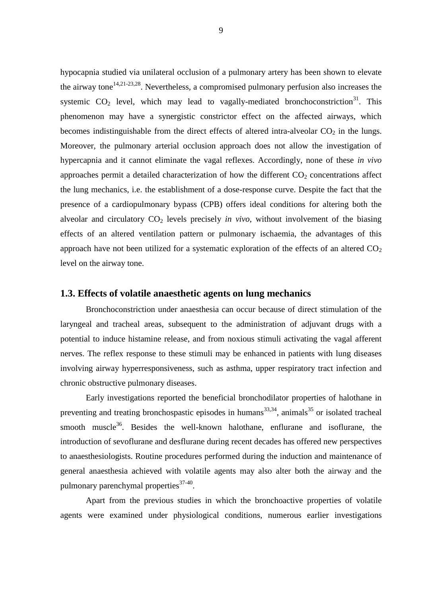hypocapnia studied via unilateral occlusion of a pulmonary artery has been shown to elevate the airway tone<sup>14,21-23,28</sup>. Nevertheless, a compromised pulmonary perfusion also increases the systemic  $CO<sub>2</sub>$  level, which may lead to vagally-mediated bronchoconstriction<sup>31</sup>. This phenomenon may have a synergistic constrictor effect on the affected airways, which becomes indistinguishable from the direct effects of altered intra-alveolar  $CO<sub>2</sub>$  in the lungs. Moreover, the pulmonary arterial occlusion approach does not allow the investigation of hypercapnia and it cannot eliminate the vagal reflexes. Accordingly, none of these *in vivo* approaches permit a detailed characterization of how the different  $CO<sub>2</sub>$  concentrations affect the lung mechanics, i.e. the establishment of a dose-response curve. Despite the fact that the presence of a cardiopulmonary bypass (CPB) offers ideal conditions for altering both the alveolar and circulatory  $CO<sub>2</sub>$  levels precisely *in vivo*, without involvement of the biasing effects of an altered ventilation pattern or pulmonary ischaemia, the advantages of this approach have not been utilized for a systematic exploration of the effects of an altered  $CO<sub>2</sub>$ level on the airway tone.

#### **1.3. Effects of volatile anaesthetic agents on lung mechanics**

Bronchoconstriction under anaesthesia can occur because of direct stimulation of the laryngeal and tracheal areas, subsequent to the administration of adjuvant drugs with a potential to induce histamine release, and from noxious stimuli activating the vagal afferent nerves. The reflex response to these stimuli may be enhanced in patients with lung diseases involving airway hyperresponsiveness, such as asthma, upper respiratory tract infection and chronic obstructive pulmonary diseases.

Early investigations reported the beneficial bronchodilator properties of halothane in preventing and treating bronchospastic episodes in humans $^{33,34}$ , animals $^{35}$  or isolated tracheal smooth muscle<sup>36</sup>. Besides the well-known halothane, enflurane and isoflurane, the introduction of sevoflurane and desflurane during recent decades has offered new perspectives to anaesthesiologists. Routine procedures performed during the induction and maintenance of general anaesthesia achieved with volatile agents may also alter both the airway and the pulmonary parenchymal properties<sup>37-40</sup>.

Apart from the previous studies in which the bronchoactive properties of volatile agents were examined under physiological conditions, numerous earlier investigations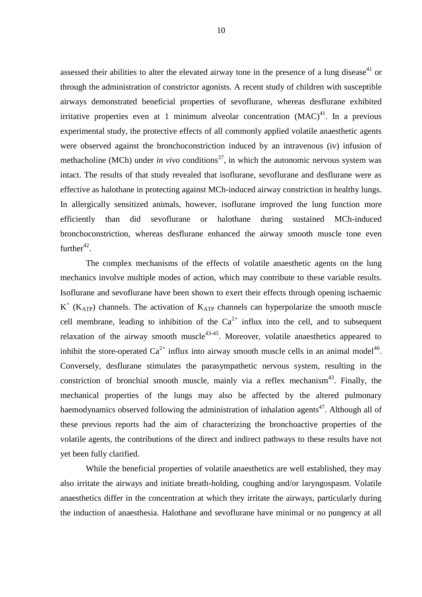assessed their abilities to alter the elevated airway tone in the presence of a lung disease<sup>41</sup> or through the administration of constrictor agonists. A recent study of children with susceptible airways demonstrated beneficial properties of sevoflurane, whereas desflurane exhibited irritative properties even at 1 minimum alveolar concentration  $(MAC)^{41}$ . In a previous experimental study, the protective effects of all commonly applied volatile anaesthetic agents were observed against the bronchoconstriction induced by an intravenous (iv) infusion of methacholine (MCh) under *in vivo* conditions<sup>37</sup>, in which the autonomic nervous system was intact. The results of that study revealed that isoflurane, sevoflurane and desflurane were as effective as halothane in protecting against MCh-induced airway constriction in healthy lungs. In allergically sensitized animals, however, isoflurane improved the lung function more efficiently than did sevoflurane or halothane during sustained MCh-induced bronchoconstriction, whereas desflurane enhanced the airway smooth muscle tone even further $42$ .

The complex mechanisms of the effects of volatile anaesthetic agents on the lung mechanics involve multiple modes of action, which may contribute to these variable results. Isoflurane and sevoflurane have been shown to exert their effects through opening ischaemic  $K^+$  ( $K_{ATP}$ ) channels. The activation of  $K_{ATP}$  channels can hyperpolarize the smooth muscle cell membrane, leading to inhibition of the  $Ca^{2+}$  influx into the cell, and to subsequent relaxation of the airway smooth muscle<sup>43-45</sup>. Moreover, volatile anaesthetics appeared to inhibit the store-operated  $Ca^{2+}$  influx into airway smooth muscle cells in an animal model<sup>46</sup>. Conversely, desflurane stimulates the parasympathetic nervous system, resulting in the constriction of bronchial smooth muscle, mainly via a reflex mechanism<sup>43</sup>. Finally, the mechanical properties of the lungs may also be affected by the altered pulmonary haemodynamics observed following the administration of inhalation agents<sup>47</sup>. Although all of these previous reports had the aim of characterizing the bronchoactive properties of the volatile agents, the contributions of the direct and indirect pathways to these results have not yet been fully clarified.

While the beneficial properties of volatile anaesthetics are well established, they may also irritate the airways and initiate breath-holding, coughing and/or laryngospasm. Volatile anaesthetics differ in the concentration at which they irritate the airways, particularly during the induction of anaesthesia. Halothane and sevoflurane have minimal or no pungency at all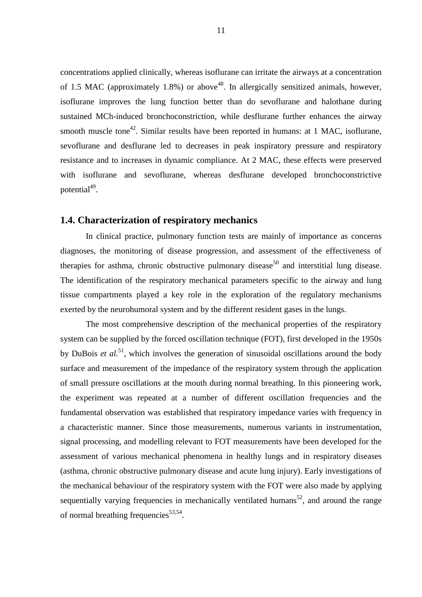concentrations applied clinically, whereas isoflurane can irritate the airways at a concentration of 1.5 MAC (approximately 1.8%) or above<sup>48</sup>. In allergically sensitized animals, however, isoflurane improves the lung function better than do sevoflurane and halothane during sustained MCh-induced bronchoconstriction, while desflurane further enhances the airway smooth muscle tone<sup>42</sup>. Similar results have been reported in humans: at 1 MAC, isoflurane, sevoflurane and desflurane led to decreases in peak inspiratory pressure and respiratory resistance and to increases in dynamic compliance. At 2 MAC, these effects were preserved with isoflurane and sevoflurane, whereas desflurane developed bronchoconstrictive potential<sup>49</sup>.

#### **1.4. Characterization of respiratory mechanics**

In clinical practice, pulmonary function tests are mainly of importance as concerns diagnoses, the monitoring of disease progression, and assessment of the effectiveness of therapies for asthma, chronic obstructive pulmonary disease<sup>50</sup> and interstitial lung disease. The identification of the respiratory mechanical parameters specific to the airway and lung tissue compartments played a key role in the exploration of the regulatory mechanisms exerted by the neurohumoral system and by the different resident gases in the lungs.

The most comprehensive description of the mechanical properties of the respiratory system can be supplied by the forced oscillation technique (FOT), first developed in the 1950s by DuBois *et al.*<sup>51</sup>, which involves the generation of sinusoidal oscillations around the body surface and measurement of the impedance of the respiratory system through the application of small pressure oscillations at the mouth during normal breathing. In this pioneering work, the experiment was repeated at a number of different oscillation frequencies and the fundamental observation was established that respiratory impedance varies with frequency in a characteristic manner. Since those measurements, numerous variants in instrumentation, signal processing, and modelling relevant to FOT measurements have been developed for the assessment of various mechanical phenomena in healthy lungs and in respiratory diseases (asthma, chronic obstructive pulmonary disease and acute lung injury). Early investigations of the mechanical behaviour of the respiratory system with the FOT were also made by applying sequentially varying frequencies in mechanically ventilated humans<sup>52</sup>, and around the range of normal breathing frequencies<sup>53,54</sup>.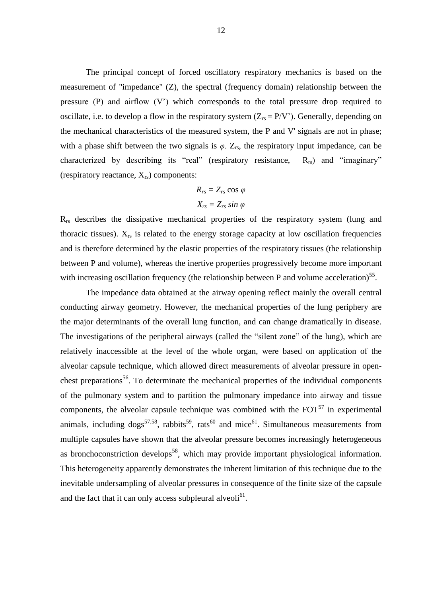The principal concept of forced oscillatory respiratory mechanics is based on the measurement of "impedance" (Z), the spectral (frequency domain) relationship between the pressure (P) and airflow (V') which corresponds to the total pressure drop required to oscillate, i.e. to develop a flow in the respiratory system  $(Z_{rs} = P/V')$ . Generally, depending on the mechanical characteristics of the measured system, the P and V' signals are not in phase; with a phase shift between the two signals is  $\varphi$ .  $Z_{rs}$ , the respiratory input impedance, can be characterized by describing its "real" (respiratory resistance,  $R_{rs}$ ) and "imaginary" (respiratory reactance,  $X_{rs}$ ) components:

$$
R_{rs} = Z_{rs} \cos \varphi
$$
  

$$
X_{rs} = Z_{rs} \sin \varphi
$$

Rrs describes the dissipative mechanical properties of the respiratory system (lung and thoracic tissues).  $X_{rs}$  is related to the energy storage capacity at low oscillation frequencies and is therefore determined by the elastic properties of the respiratory tissues (the relationship between P and volume), whereas the inertive properties progressively become more important with increasing oscillation frequency (the relationship between P and volume acceleration)<sup>55</sup>.

The impedance data obtained at the airway opening reflect mainly the overall central conducting airway geometry. However, the mechanical properties of the lung periphery are the major determinants of the overall lung function, and can change dramatically in disease. The investigations of the peripheral airways (called the "silent zone" of the lung), which are relatively inaccessible at the level of the whole organ, were based on application of the alveolar capsule technique, which allowed direct measurements of alveolar pressure in openchest preparations<sup>56</sup>. To determinate the mechanical properties of the individual components of the pulmonary system and to partition the pulmonary impedance into airway and tissue components, the alveolar capsule technique was combined with the  $FOT<sup>57</sup>$  in experimental animals, including dogs<sup>57,58</sup>, rabbits<sup>59</sup>, rats<sup>60</sup> and mice<sup>61</sup>. Simultaneous measurements from multiple capsules have shown that the alveolar pressure becomes increasingly heterogeneous as bronchoconstriction develops<sup>58</sup>, which may provide important physiological information. This heterogeneity apparently demonstrates the inherent limitation of this technique due to the inevitable undersampling of alveolar pressures in consequence of the finite size of the capsule and the fact that it can only access subpleural alveoli<sup>61</sup>.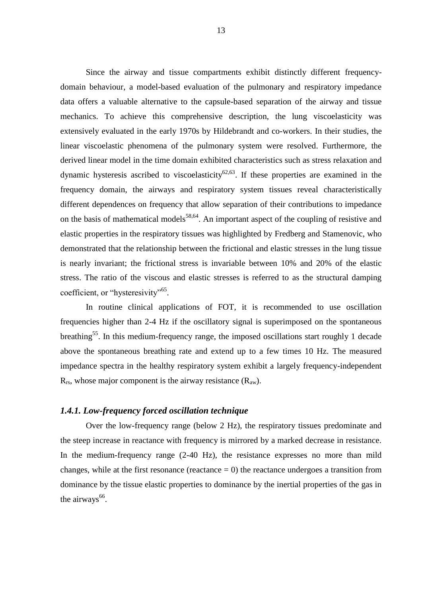Since the airway and tissue compartments exhibit distinctly different frequencydomain behaviour, a model-based evaluation of the pulmonary and respiratory impedance data offers a valuable alternative to the capsule-based separation of the airway and tissue mechanics. To achieve this comprehensive description, the lung viscoelasticity was extensively evaluated in the early 1970s by Hildebrandt and co-workers. In their studies, the linear viscoelastic phenomena of the pulmonary system were resolved. Furthermore, the derived linear model in the time domain exhibited characteristics such as stress relaxation and dynamic hysteresis ascribed to viscoelasticity<sup>62,63</sup>. If these properties are examined in the frequency domain, the airways and respiratory system tissues reveal characteristically different dependences on frequency that allow separation of their contributions to impedance on the basis of mathematical models<sup>58,64</sup>. An important aspect of the coupling of resistive and elastic properties in the respiratory tissues was highlighted by Fredberg and Stamenovic, who demonstrated that the relationship between the frictional and elastic stresses in the lung tissue is nearly invariant; the frictional stress is invariable between 10% and 20% of the elastic stress. The ratio of the viscous and elastic stresses is referred to as the structural damping coefficient, or "hysteresivity"<sup>65</sup>.

In routine clinical applications of FOT, it is recommended to use oscillation frequencies higher than 2-4 Hz if the oscillatory signal is superimposed on the spontaneous breathing<sup>55</sup>. In this medium-frequency range, the imposed oscillations start roughly 1 decade above the spontaneous breathing rate and extend up to a few times 10 Hz. The measured impedance spectra in the healthy respiratory system exhibit a largely frequency-independent  $R_{rs}$ , whose major component is the airway resistance  $(R_{aw})$ .

#### *1.4.1. Low-frequency forced oscillation technique*

Over the low-frequency range (below 2 Hz), the respiratory tissues predominate and the steep increase in reactance with frequency is mirrored by a marked decrease in resistance. In the medium-frequency range (2-40 Hz), the resistance expresses no more than mild changes, while at the first resonance (reactance  $= 0$ ) the reactance undergoes a transition from dominance by the tissue elastic properties to dominance by the inertial properties of the gas in the airways $^{66}$ .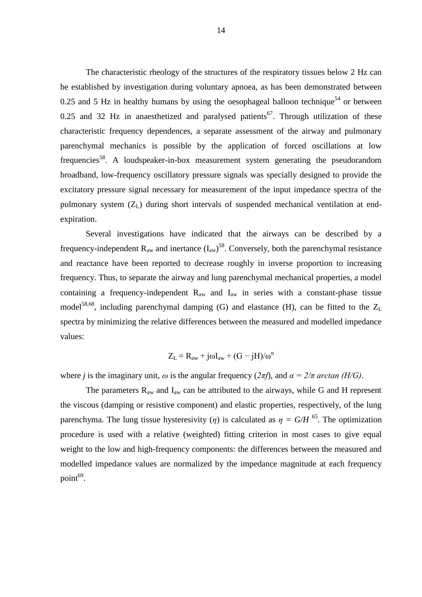The characteristic rheology of the structures of the respiratory tissues below 2 Hz can be established by investigation during voluntary apnoea, as has been demonstrated between 0.25 and 5 Hz in healthy humans by using the oesophageal balloon technique<sup>54</sup> or between  $0.25$  and  $32$  Hz in anaesthetized and paralysed patients<sup>67</sup>. Through utilization of these characteristic frequency dependences, a separate assessment of the airway and pulmonary parenchymal mechanics is possible by the application of forced oscillations at low frequencies<sup>58</sup>. A loudspeaker-in-box measurement system generating the pseudorandom broadband, low-frequency oscillatory pressure signals was specially designed to provide the excitatory pressure signal necessary for measurement of the input impedance spectra of the pulmonary system (ZL) during short intervals of suspended mechanical ventilation at endexpiration.

Several investigations have indicated that the airways can be described by a frequency-independent  $R_{aw}$  and inertance  $(I_{aw})^{58}$ . Conversely, both the parenchymal resistance and reactance have been reported to decrease roughly in inverse proportion to increasing frequency. Thus, to separate the airway and lung parenchymal mechanical properties, a model containing a frequency-independent  $R_{aw}$  and  $I_{aw}$  in series with a constant-phase tissue model<sup>58,68</sup>, including parenchymal damping (G) and elastance (H), can be fitted to the  $Z_L$ spectra by minimizing the relative differences between the measured and modelled impedance values:

$$
Z_L = R_{aw} + j\omega I_{aw} + (G - jH)/\omega^{\alpha}
$$

where *j* is the imaginary unit,  $\omega$  is the angular frequency ( $2\pi f$ ), and  $\alpha = 2/\pi$  arctan (H/G).

The parameters  $R_{aw}$  and  $I_{aw}$  can be attributed to the airways, while G and H represent the viscous (damping or resistive component) and elastic properties, respectively, of the lung parenchyma. The lung tissue hysteresivity (*η*) is calculated as  $\eta = G/H$ <sup>65</sup>. The optimization procedure is used with a relative (weighted) fitting criterion in most cases to give equal weight to the low and high-frequency components: the differences between the measured and modelled impedance values are normalized by the impedance magnitude at each frequency point<sup>69</sup>.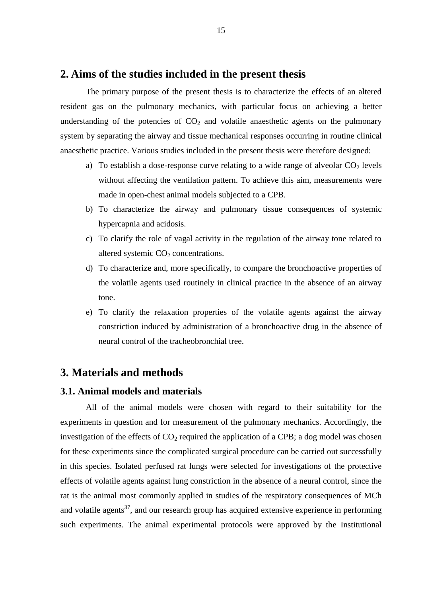### **2. Aims of the studies included in the present thesis**

The primary purpose of the present thesis is to characterize the effects of an altered resident gas on the pulmonary mechanics, with particular focus on achieving a better understanding of the potencies of  $CO<sub>2</sub>$  and volatile anaesthetic agents on the pulmonary system by separating the airway and tissue mechanical responses occurring in routine clinical anaesthetic practice. Various studies included in the present thesis were therefore designed:

- a) To establish a dose-response curve relating to a wide range of alveolar  $CO<sub>2</sub>$  levels without affecting the ventilation pattern. To achieve this aim, measurements were made in open-chest animal models subjected to a CPB.
- b) To characterize the airway and pulmonary tissue consequences of systemic hypercapnia and acidosis.
- c) To clarify the role of vagal activity in the regulation of the airway tone related to altered systemic  $CO<sub>2</sub>$  concentrations.
- d) To characterize and, more specifically, to compare the bronchoactive properties of the volatile agents used routinely in clinical practice in the absence of an airway tone.
- e) To clarify the relaxation properties of the volatile agents against the airway constriction induced by administration of a bronchoactive drug in the absence of neural control of the tracheobronchial tree.

### **3. Materials and methods**

#### **3.1. Animal models and materials**

All of the animal models were chosen with regard to their suitability for the experiments in question and for measurement of the pulmonary mechanics. Accordingly, the investigation of the effects of  $CO<sub>2</sub>$  required the application of a CPB; a dog model was chosen for these experiments since the complicated surgical procedure can be carried out successfully in this species. Isolated perfused rat lungs were selected for investigations of the protective effects of volatile agents against lung constriction in the absence of a neural control, since the rat is the animal most commonly applied in studies of the respiratory consequences of MCh and volatile agents<sup>37</sup>, and our research group has acquired extensive experience in performing such experiments. The animal experimental protocols were approved by the Institutional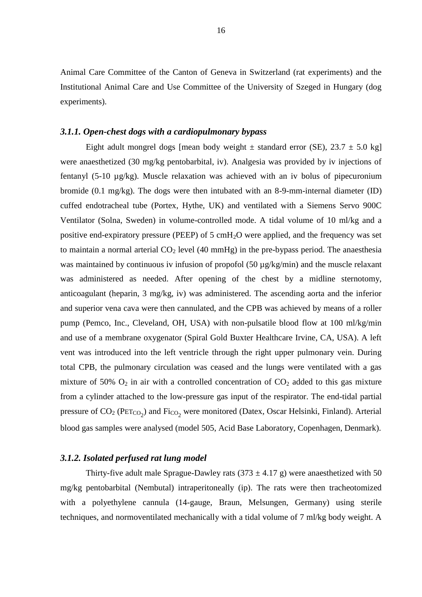Animal Care Committee of the Canton of Geneva in Switzerland (rat experiments) and the Institutional Animal Care and Use Committee of the University of Szeged in Hungary (dog experiments).

#### *3.1.1. Open-chest dogs with a cardiopulmonary bypass*

Eight adult mongrel dogs [mean body weight  $\pm$  standard error (SE), 23.7  $\pm$  5.0 kg] were anaesthetized (30 mg/kg pentobarbital, iv). Analgesia was provided by iv injections of fentanyl (5-10 µg/kg). Muscle relaxation was achieved with an iv bolus of pipecuronium bromide (0.1 mg/kg). The dogs were then intubated with an 8-9-mm-internal diameter (ID) cuffed endotracheal tube (Portex, Hythe, UK) and ventilated with a Siemens Servo 900C Ventilator (Solna, Sweden) in volume-controlled mode. A tidal volume of 10 ml/kg and a positive end-expiratory pressure (PEEP) of 5 cmH<sub>2</sub>O were applied, and the frequency was set to maintain a normal arterial  $CO<sub>2</sub>$  level (40 mmHg) in the pre-bypass period. The anaesthesia was maintained by continuous iv infusion of propofol (50 µg/kg/min) and the muscle relaxant was administered as needed. After opening of the chest by a midline sternotomy, anticoagulant (heparin, 3 mg/kg, iv) was administered. The ascending aorta and the inferior and superior vena cava were then cannulated, and the CPB was achieved by means of a roller pump (Pemco, Inc., Cleveland, OH, USA) with non-pulsatile blood flow at 100 ml/kg/min and use of a membrane oxygenator (Spiral Gold Buxter Healthcare Irvine, CA, USA). A left vent was introduced into the left ventricle through the right upper pulmonary vein. During total CPB, the pulmonary circulation was ceased and the lungs were ventilated with a gas mixture of 50%  $O_2$  in air with a controlled concentration of  $CO_2$  added to this gas mixture from a cylinder attached to the low-pressure gas input of the respirator. The end-tidal partial pressure of  $CO_2$  ( $PET_{CO_2}$ ) and  $Fi_{CO_2}$  were monitored (Datex, Oscar Helsinki, Finland). Arterial blood gas samples were analysed (model 505, Acid Base Laboratory, Copenhagen, Denmark).

#### *3.1.2. Isolated perfused rat lung model*

Thirty-five adult male Sprague-Dawley rats  $(373 \pm 4.17 \text{ g})$  were anaesthetized with 50 mg/kg pentobarbital (Nembutal) intraperitoneally (ip). The rats were then tracheotomized with a polyethylene cannula (14-gauge, Braun, Melsungen, Germany) using sterile techniques, and normoventilated mechanically with a tidal volume of 7 ml/kg body weight. A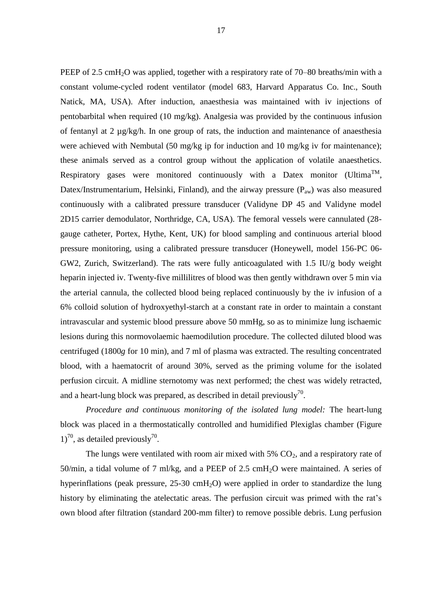PEEP of 2.5 cmH<sub>2</sub>O was applied, together with a respiratory rate of 70–80 breaths/min with a constant volume-cycled rodent ventilator (model 683, Harvard Apparatus Co. Inc., South Natick, MA, USA). After induction, anaesthesia was maintained with iv injections of pentobarbital when required (10 mg/kg). Analgesia was provided by the continuous infusion of fentanyl at 2  $\mu$ g/kg/h. In one group of rats, the induction and maintenance of anaesthesia were achieved with Nembutal (50 mg/kg ip for induction and 10 mg/kg iv for maintenance); these animals served as a control group without the application of volatile anaesthetics. Respiratory gases were monitored continuously with a Datex monitor (Ultima<sup>TM</sup>, Datex/Instrumentarium, Helsinki, Finland), and the airway pressure  $(P_{aw})$  was also measured continuously with a calibrated pressure transducer (Validyne DP 45 and Validyne model 2D15 carrier demodulator, Northridge, CA, USA). The femoral vessels were cannulated (28 gauge catheter, Portex, Hythe, Kent, UK) for blood sampling and continuous arterial blood pressure monitoring, using a calibrated pressure transducer (Honeywell, model 156-PC 06- GW2, Zurich, Switzerland). The rats were fully anticoagulated with 1.5 IU/g body weight heparin injected iv. Twenty-five millilitres of blood was then gently withdrawn over 5 min via the arterial cannula, the collected blood being replaced continuously by the iv infusion of a 6% colloid solution of hydroxyethyl-starch at a constant rate in order to maintain a constant intravascular and systemic blood pressure above 50 mmHg, so as to minimize lung ischaemic lesions during this normovolaemic haemodilution procedure. The collected diluted blood was centrifuged (1800*g* for 10 min), and 7 ml of plasma was extracted. The resulting concentrated blood, with a haematocrit of around 30%, served as the priming volume for the isolated perfusion circuit. A midline sternotomy was next performed; the chest was widely retracted, and a heart-lung block was prepared, as described in detail previously<sup>70</sup>.

*Procedure and continuous monitoring of the isolated lung model:* The heart-lung block was placed in a thermostatically controlled and humidified Plexiglas chamber (Figure  $1)^{70}$ , as detailed previously<sup>70</sup>.

The lungs were ventilated with room air mixed with  $5\%$  CO<sub>2</sub>, and a respiratory rate of 50/min, a tidal volume of 7 ml/kg, and a PEEP of 2.5 cmH<sub>2</sub>O were maintained. A series of hyperinflations (peak pressure,  $25{\text -}30 \text{ cm}$ H<sub>2</sub>O) were applied in order to standardize the lung history by eliminating the atelectatic areas. The perfusion circuit was primed with the rat's own blood after filtration (standard 200-mm filter) to remove possible debris. Lung perfusion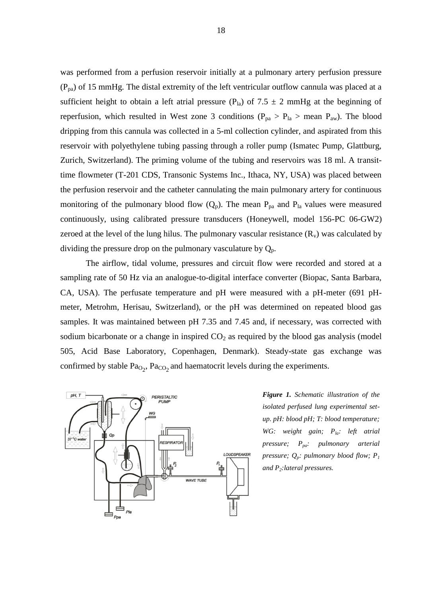was performed from a perfusion reservoir initially at a pulmonary artery perfusion pressure  $(P_{pa})$  of 15 mmHg. The distal extremity of the left ventricular outflow cannula was placed at a sufficient height to obtain a left atrial pressure (P<sub>la</sub>) of 7.5  $\pm$  2 mmHg at the beginning of reperfusion, which resulted in West zone 3 conditions ( $P_{pa} > P_{la} >$  mean  $P_{aw}$ ). The blood dripping from this cannula was collected in a 5-ml collection cylinder, and aspirated from this reservoir with polyethylene tubing passing through a roller pump (Ismatec Pump, Glattburg, Zurich, Switzerland). The priming volume of the tubing and reservoirs was 18 ml. A transittime flowmeter (T-201 CDS, Transonic Systems Inc., Ithaca, NY, USA) was placed between the perfusion reservoir and the catheter cannulating the main pulmonary artery for continuous monitoring of the pulmonary blood flow  $(Q_p)$ . The mean  $P_{pa}$  and  $P_{la}$  values were measured continuously, using calibrated pressure transducers (Honeywell, model 156-PC 06-GW2) zeroed at the level of the lung hilus. The pulmonary vascular resistance  $(R_v)$  was calculated by dividing the pressure drop on the pulmonary vasculature by  $Q_p$ .

The airflow, tidal volume, pressures and circuit flow were recorded and stored at a sampling rate of 50 Hz via an analogue-to-digital interface converter (Biopac, Santa Barbara, CA, USA). The perfusate temperature and pH were measured with a pH-meter (691 pHmeter, Metrohm, Herisau, Switzerland), or the pH was determined on repeated blood gas samples. It was maintained between pH 7.35 and 7.45 and, if necessary, was corrected with sodium bicarbonate or a change in inspired  $CO<sub>2</sub>$  as required by the blood gas analysis (model 505, Acid Base Laboratory, Copenhagen, Denmark). Steady-state gas exchange was confirmed by stable  $Pa<sub>O<sub>2</sub></sub>$ ,  $Pa<sub>CO<sub>2</sub></sub>$  and haematocrit levels during the experiments.



*Figure 1. Schematic illustration of the isolated perfused lung experimental setup. pH: blood pH; T: blood temperature; WG: weight gain; Pla: left atrial pressure; Ppa: pulmonary arterial pressure; Qp: pulmonary blood flow; P<sup>1</sup> and P2:lateral pressures.*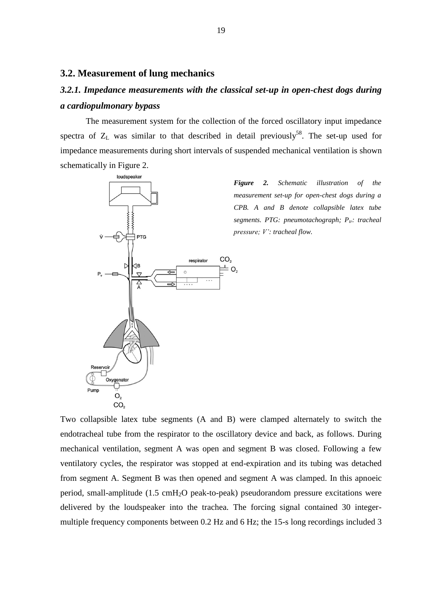#### **3.2. Measurement of lung mechanics**

# *3.2.1. Impedance measurements with the classical set-up in open-chest dogs during a cardiopulmonary bypass*

The measurement system for the collection of the forced oscillatory input impedance spectra of  $Z_L$  was similar to that described in detail previously<sup>58</sup>. The set-up used for impedance measurements during short intervals of suspended mechanical ventilation is shown schematically in Figure 2.



*Figure 2. Schematic illustration of the measurement set-up for open-chest dogs during a CPB. A and B denote collapsible latex tube segments. PTG: pneumotachograph; Ptr: tracheal pressure; V': tracheal flow.*

Two collapsible latex tube segments (A and B) were clamped alternately to switch the endotracheal tube from the respirator to the oscillatory device and back, as follows. During mechanical ventilation, segment A was open and segment B was closed. Following a few ventilatory cycles, the respirator was stopped at end-expiration and its tubing was detached from segment A. Segment B was then opened and segment A was clamped. In this apnoeic period, small-amplitude  $(1.5 \text{ cm}H_2O \text{ peak-to-peak})$  pseudorandom pressure excitations were delivered by the loudspeaker into the trachea. The forcing signal contained 30 integermultiple frequency components between 0.2 Hz and 6 Hz; the 15-s long recordings included 3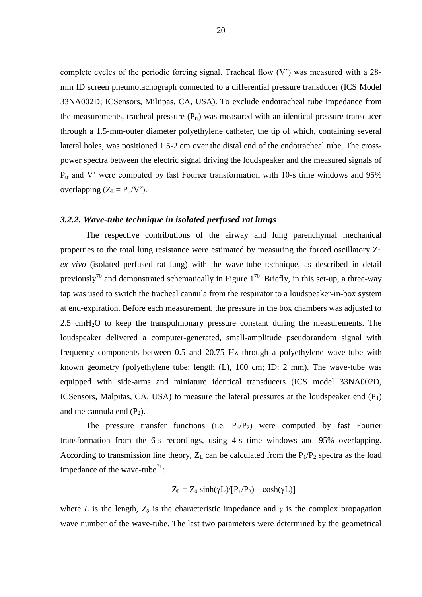complete cycles of the periodic forcing signal. Tracheal flow (V') was measured with a 28 mm ID screen pneumotachograph connected to a differential pressure transducer (ICS Model 33NA002D; ICSensors, Miltipas, CA, USA). To exclude endotracheal tube impedance from the measurements, tracheal pressure  $(P_{tr})$  was measured with an identical pressure transducer through a 1.5-mm-outer diameter polyethylene catheter, the tip of which, containing several lateral holes, was positioned 1.5-2 cm over the distal end of the endotracheal tube. The crosspower spectra between the electric signal driving the loudspeaker and the measured signals of  $P_{tr}$  and V' were computed by fast Fourier transformation with 10-s time windows and 95% overlapping  $(Z_L = P_{tr}/V')$ .

#### *3.2.2. Wave-tube technique in isolated perfused rat lungs*

The respective contributions of the airway and lung parenchymal mechanical properties to the total lung resistance were estimated by measuring the forced oscillatory  $Z_L$ *ex vivo* (isolated perfused rat lung) with the wave-tube technique, as described in detail previously<sup>70</sup> and demonstrated schematically in Figure  $1^{70}$ . Briefly, in this set-up, a three-way tap was used to switch the tracheal cannula from the respirator to a loudspeaker-in-box system at end-expiration. Before each measurement, the pressure in the box chambers was adjusted to 2.5 cmH2O to keep the transpulmonary pressure constant during the measurements. The loudspeaker delivered a computer-generated, small-amplitude pseudorandom signal with frequency components between 0.5 and 20.75 Hz through a polyethylene wave-tube with known geometry (polyethylene tube: length (L), 100 cm; ID: 2 mm). The wave-tube was equipped with side-arms and miniature identical transducers (ICS model 33NA002D, ICSensors, Malpitas, CA, USA) to measure the lateral pressures at the loudspeaker end  $(P_1)$ and the cannula end  $(P_2)$ .

The pressure transfer functions (i.e.  $P_1/P_2$ ) were computed by fast Fourier transformation from the 6-s recordings, using 4-s time windows and 95% overlapping. According to transmission line theory,  $Z_L$  can be calculated from the  $P_1/P_2$  spectra as the load impedance of the wave-tube<sup>71</sup>:

$$
Z_L = Z_0 \sinh(\gamma L) / [P_1/P_2) - \cosh(\gamma L)]
$$

where *L* is the length,  $Z_0$  is the characteristic impedance and  $\gamma$  is the complex propagation wave number of the wave-tube. The last two parameters were determined by the geometrical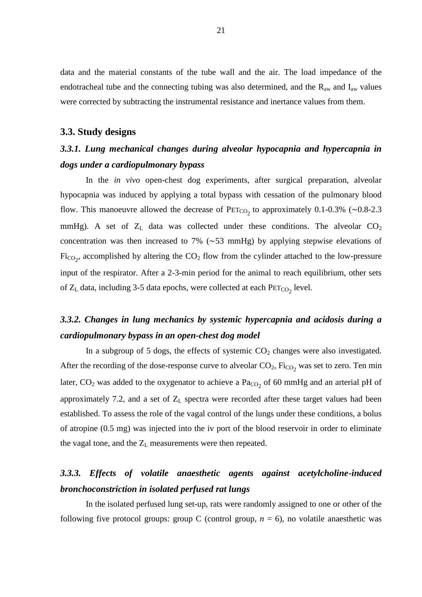data and the material constants of the tube wall and the air. The load impedance of the endotracheal tube and the connecting tubing was also determined, and the  $R_{aw}$  and  $I_{aw}$  values were corrected by subtracting the instrumental resistance and inertance values from them.

#### **3.3. Study designs**

### *3.3.1. Lung mechanical changes during alveolar hypocapnia and hypercapnia in dogs under a cardiopulmonary bypass*

In the *in vivo* open-chest dog experiments, after surgical preparation, alveolar hypocapnia was induced by applying a total bypass with cessation of the pulmonary blood flow. This manoeuvre allowed the decrease of  $PET_{CO_2}$  to approximately 0.1-0.3% (~0.8-2.3 mmHg). A set of  $Z_L$  data was collected under these conditions. The alveolar  $CO_2$ concentration was then increased to 7% (∼53 mmHg) by applying stepwise elevations of  $Fi_{CO_2}$ , accomplished by altering the  $CO_2$  flow from the cylinder attached to the low-pressure input of the respirator. After a 2-3-min period for the animal to reach equilibrium, other sets of  $Z_L$  data, including 3-5 data epochs, were collected at each  $PET_{CO_2}$  level.

### *3.3.2. Changes in lung mechanics by systemic hypercapnia and acidosis during a cardiopulmonary bypass in an open-chest dog model*

In a subgroup of 5 dogs, the effects of systemic  $CO<sub>2</sub>$  changes were also investigated. After the recording of the dose-response curve to alveolar  $CO_2$ ,  $Fi_{CO_2}$  was set to zero. Ten min later,  $CO_2$  was added to the oxygenator to achieve a  $Pa_{CO_2}$  of 60 mmHg and an arterial pH of approximately 7.2, and a set of  $Z_L$  spectra were recorded after these target values had been established. To assess the role of the vagal control of the lungs under these conditions, a bolus of atropine (0.5 mg) was injected into the iv port of the blood reservoir in order to eliminate the vagal tone, and the  $Z_L$  measurements were then repeated.

### *3.3.3. Effects of volatile anaesthetic agents against acetylcholine-induced bronchoconstriction in isolated perfused rat lungs*

In the isolated perfused lung set-up, rats were randomly assigned to one or other of the following five protocol groups: group C (control group,  $n = 6$ ), no volatile anaesthetic was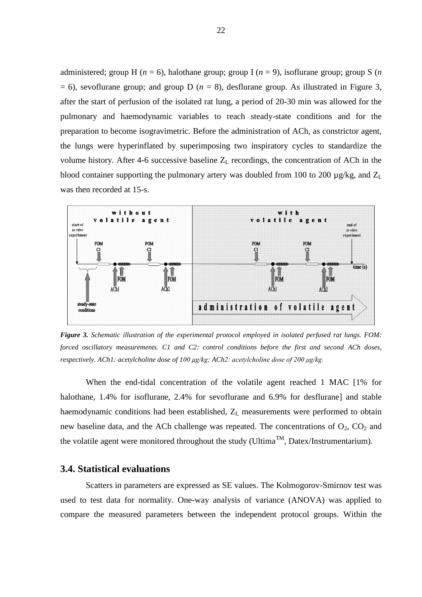administered; group H ( $n = 6$ ), halothane group; group I ( $n = 9$ ), isoflurane group; group S ( $n$ )  $= 6$ ), sevoflurane group; and group D ( $n = 8$ ), desflurane group. As illustrated in Figure 3, after the start of perfusion of the isolated rat lung, a period of 20-30 min was allowed for the pulmonary and haemodynamic variables to reach steady-state conditions and for the preparation to become isogravimetric. Before the administration of ACh, as constrictor agent, the lungs were hyperinflated by superimposing two inspiratory cycles to standardize the volume history. After 4-6 successive baseline  $Z_L$  recordings, the concentration of ACh in the blood container supporting the pulmonary artery was doubled from 100 to 200  $\mu$ g/kg, and  $Z_L$ was then recorded at 15-s.



*Figure 3. Schematic illustration of the experimental protocol employed in isolated perfused rat lungs. FOM: forced oscillatory measurements. C1 and C2: control conditions before the first and second ACh doses, respectively. ACh1: acetylcholine dose of 100 μg/kg; ACh2: acetylcholine dose of 200 μg/kg.*

When the end-tidal concentration of the volatile agent reached 1 MAC [1% for halothane, 1.4% for isoflurane, 2.4% for sevoflurane and 6.9% for desflurane] and stable haemodynamic conditions had been established,  $Z_L$  measurements were performed to obtain new baseline data, and the ACh challenge was repeated. The concentrations of  $O_2$ ,  $CO_2$  and the volatile agent were monitored throughout the study (Ultima<sup>TM</sup>, Datex/Instrumentarium).

#### **3.4. Statistical evaluations**

Scatters in parameters are expressed as SE values. The Kolmogorov-Smirnov test was used to test data for normality. One-way analysis of variance (ANOVA) was applied to compare the measured parameters between the independent protocol groups. Within the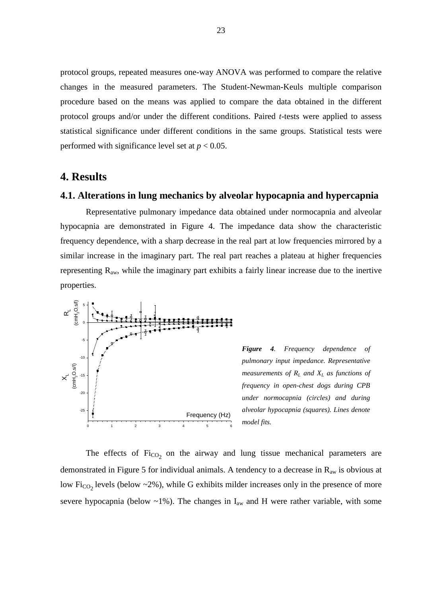protocol groups, repeated measures one-way ANOVA was performed to compare the relative changes in the measured parameters. The Student-Newman-Keuls multiple comparison procedure based on the means was applied to compare the data obtained in the different protocol groups and/or under the different conditions. Paired *t*-tests were applied to assess statistical significance under different conditions in the same groups. Statistical tests were performed with significance level set at  $p < 0.05$ .

### **4. Results**

#### **4.1. Alterations in lung mechanics by alveolar hypocapnia and hypercapnia**

Representative pulmonary impedance data obtained under normocapnia and alveolar hypocapnia are demonstrated in Figure 4. The impedance data show the characteristic frequency dependence, with a sharp decrease in the real part at low frequencies mirrored by a similar increase in the imaginary part. The real part reaches a plateau at higher frequencies representing Raw, while the imaginary part exhibits a fairly linear increase due to the inertive properties.



*Figure 4. Frequency dependence of pulmonary input impedance. Representative measurements of R<sup>L</sup> and X<sup>L</sup> as functions of frequency in open-chest dogs during CPB under normocapnia (circles) and during alveolar hypocapnia (squares). Lines denote model fits.*

The effects of  $Fi_{CO_2}$  on the airway and lung tissue mechanical parameters are demonstrated in Figure 5 for individual animals. A tendency to a decrease in  $R_{aw}$  is obvious at low Fi<sub>CO2</sub> levels (below  $\sim$ 2%), while G exhibits milder increases only in the presence of more severe hypocapnia (below  $\sim$ 1%). The changes in  $I_{aw}$  and H were rather variable, with some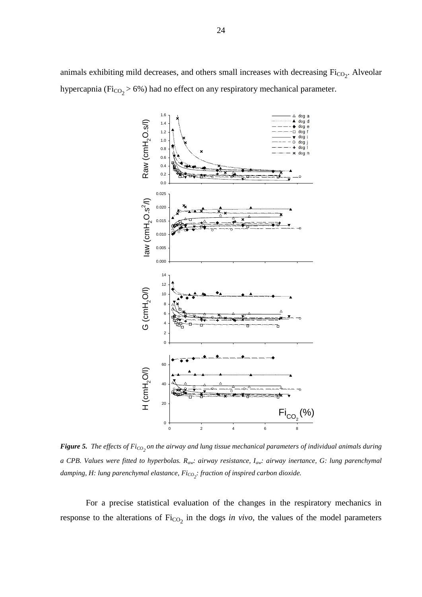animals exhibiting mild decreases, and others small increases with decreasing  $Fi_{CO_2}$ . Alveolar hypercapnia ( $Fi_{CO_2} > 6\%$ ) had no effect on any respiratory mechanical parameter.



*Figure* 5. The effects of Fi<sub>CO<sub>2</sub></sub> on the airway and lung tissue mechanical parameters of individual animals during *a CPB. Values were fitted to hyperbolas. Raw: airway resistance, Iaw: airway inertance, G: lung parenchymal damping, H: lung parenchymal elastance, FiCO2 : fraction of inspired carbon dioxide.*

For a precise statistical evaluation of the changes in the respiratory mechanics in response to the alterations of  $Fi_{CO_2}$  in the dogs *in vivo*, the values of the model parameters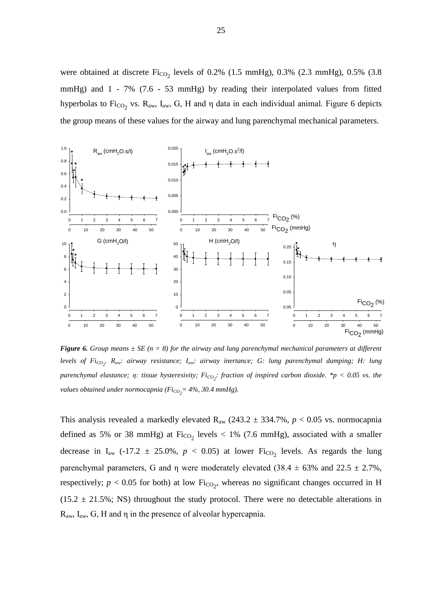were obtained at discrete  $Fi_{CO_2}$  levels of 0.2% (1.5 mmHg), 0.3% (2.3 mmHg), 0.5% (3.8 mmHg) and 1 - 7% (7.6 - 53 mmHg) by reading their interpolated values from fitted hyperbolas to Fi<sub>CO<sub>2</sub></sub> vs. R<sub>aw</sub>, I<sub>aw</sub>, G, H and η data in each individual animal. Figure 6 depicts the group means of these values for the airway and lung parenchymal mechanical parameters.



*Figure* 6. Group means  $\pm$  *SE* (n = 8) for the airway and lung parenchymal mechanical parameters at different *levels of FiCO2 . Raw: airway resistance; Iaw: airway inertance; G: lung parenchymal damping; H: lung parenchymal elastance; η: tissue hysteresivity; FiCO2 : fraction of inspired carbon dioxide. \*p < 0.05 vs. the values obtained under normocapnia (FiCO2 = 4%, 30.4 mmHg).*

This analysis revealed a markedly elevated  $R_{aw}$  (243.2  $\pm$  334.7%,  $p < 0.05$  vs. normocapnia defined as 5% or 38 mmHg) at  $Fi_{CO_2}$  levels  $< 1\%$  (7.6 mmHg), associated with a smaller decrease in  $I_{aw}$  (-17.2  $\pm$  25.0%,  $p < 0.05$ ) at lower  $Fi_{CO_2}$  levels. As regards the lung parenchymal parameters, G and η were moderately elevated  $(38.4 \pm 63\%$  and  $22.5 \pm 2.7\%$ , respectively;  $p < 0.05$  for both) at low  $Fi_{CO_2}$ , whereas no significant changes occurred in H  $(15.2 \pm 21.5\%)$ ; NS) throughout the study protocol. There were no detectable alterations in  $R_{aw}$ ,  $I_{aw}$ ,  $G$ ,  $H$  and  $\eta$  in the presence of alveolar hypercapnia.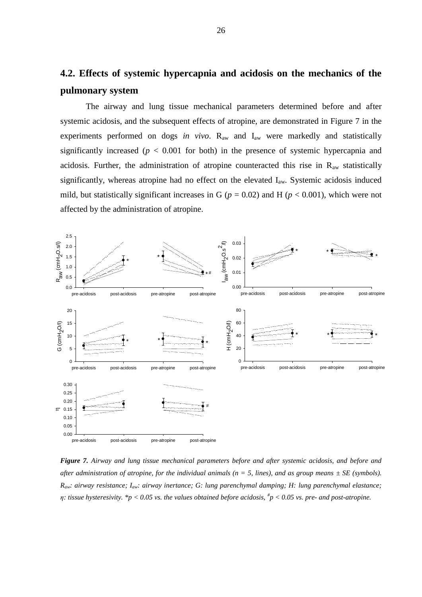# **4.2. Effects of systemic hypercapnia and acidosis on the mechanics of the pulmonary system**

The airway and lung tissue mechanical parameters determined before and after systemic acidosis, and the subsequent effects of atropine, are demonstrated in Figure 7 in the experiments performed on dogs *in vivo*. R<sub>aw</sub> and I<sub>aw</sub> were markedly and statistically significantly increased ( $p < 0.001$  for both) in the presence of systemic hypercapnia and acidosis. Further, the administration of atropine counteracted this rise in  $R_{aw}$  statistically significantly, whereas atropine had no effect on the elevated  $I_{aw}$ . Systemic acidosis induced mild, but statistically significant increases in G ( $p = 0.02$ ) and H ( $p < 0.001$ ), which were not affected by the administration of atropine.



*Figure 7. Airway and lung tissue mechanical parameters before and after systemic acidosis, and before and after administration of atropine, for the individual animals (n = 5, lines), and as group means*  $\pm$  *SE (symbols). Raw: airway resistance; Iaw: airway inertance; G: lung parenchymal damping; H: lung parenchymal elastance; η: tissue hysteresivity. \*p < 0.05 vs. the values obtained before acidosis, # p < 0.05 vs. pre- and post-atropine.*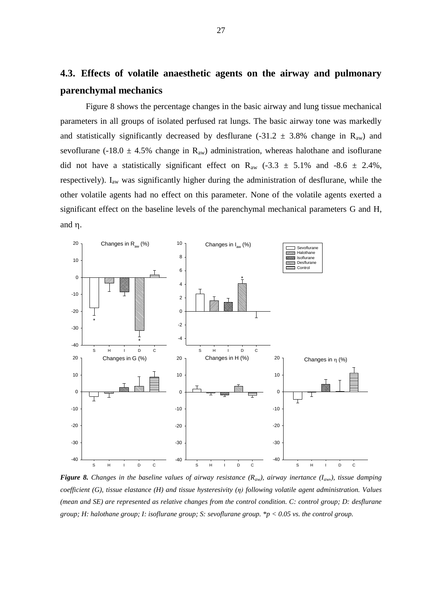# **4.3. Effects of volatile anaesthetic agents on the airway and pulmonary parenchymal mechanics**

Figure 8 shows the percentage changes in the basic airway and lung tissue mechanical parameters in all groups of isolated perfused rat lungs. The basic airway tone was markedly and statistically significantly decreased by desflurane (-31.2  $\pm$  3.8% change in R<sub>aw</sub>) and sevoflurane (-18.0  $\pm$  4.5% change in R<sub>aw</sub>) administration, whereas halothane and isoflurane did not have a statistically significant effect on R<sub>aw</sub>  $(-3.3 \pm 5.1\%$  and  $-8.6 \pm 2.4\%$ , respectively). I<sub>aw</sub> was significantly higher during the administration of desflurane, while the other volatile agents had no effect on this parameter. None of the volatile agents exerted a significant effect on the baseline levels of the parenchymal mechanical parameters G and H, and  $\eta$ .



*Figure* 8. Changes in the baseline values of airway resistance  $(R_{aw})$ , airway inertance  $(I_{aw})$ , tissue damping *coefficient (G), tissue elastance (H) and tissue hysteresivity (η) following volatile agent administration. Values (mean and SE) are represented as relative changes from the control condition. C: control group; D: desflurane group; H: halothane group; I: isoflurane group; S: sevoflurane group. \*p < 0.05 vs. the control group.*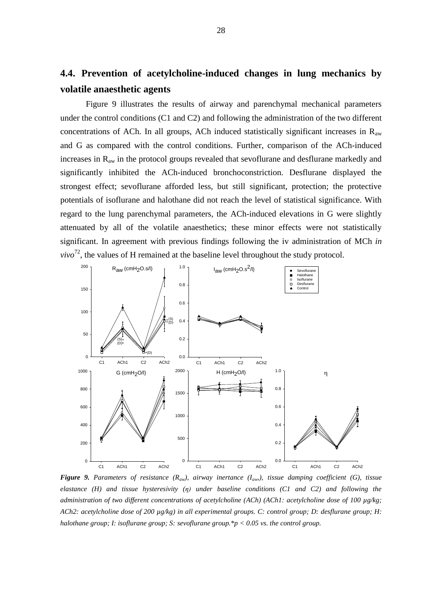# **4.4. Prevention of acetylcholine-induced changes in lung mechanics by volatile anaesthetic agents**

Figure 9 illustrates the results of airway and parenchymal mechanical parameters under the control conditions (C1 and C2) and following the administration of the two different concentrations of ACh. In all groups, ACh induced statistically significant increases in  $R_{aw}$ and G as compared with the control conditions. Further, comparison of the ACh-induced increases in  $R_{aw}$  in the protocol groups revealed that sevoflurane and desflurane markedly and significantly inhibited the ACh-induced bronchoconstriction. Desflurane displayed the strongest effect; sevoflurane afforded less, but still significant, protection; the protective potentials of isoflurane and halothane did not reach the level of statistical significance. With regard to the lung parenchymal parameters, the ACh-induced elevations in G were slightly attenuated by all of the volatile anaesthetics; these minor effects were not statistically significant. In agreement with previous findings following the iv administration of MCh *in*   $vivo^{72}$ , the values of H remained at the baseline level throughout the study protocol.



*Figure* 9. Parameters of resistance  $(R_{aw})$ , airway inertance  $(I_{aw})$ , tissue damping coefficient (G), tissue *elastance (H) and tissue hysteresivity (η) under baseline conditions (C1 and C2) and following the administration of two different concentrations of acetylcholine (ACh) (ACh1: acetylcholine dose of 100 µg/kg; ACh2: acetylcholine dose of 200 µg/kg) in all experimental groups. C: control group; D: desflurane group; H: halothane group; I: isoflurane group; S: sevoflurane group.\*p < 0.05 vs. the control group.*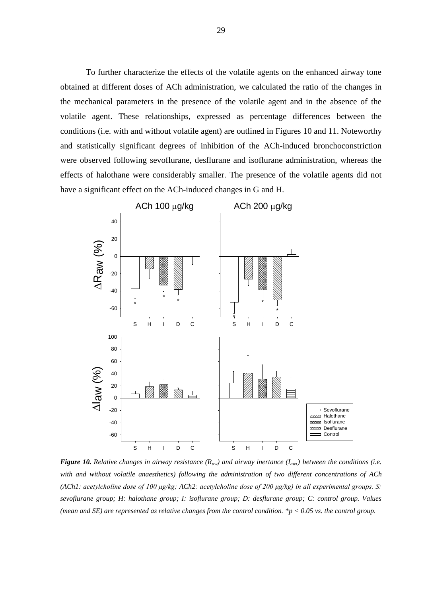To further characterize the effects of the volatile agents on the enhanced airway tone obtained at different doses of ACh administration, we calculated the ratio of the changes in the mechanical parameters in the presence of the volatile agent and in the absence of the volatile agent. These relationships, expressed as percentage differences between the conditions (i.e. with and without volatile agent) are outlined in Figures 10 and 11. Noteworthy and statistically significant degrees of inhibition of the ACh-induced bronchoconstriction were observed following sevoflurane, desflurane and isoflurane administration, whereas the effects of halothane were considerably smaller. The presence of the volatile agents did not have a significant effect on the ACh-induced changes in G and H.



*Figure* 10. Relative changes in airway resistance  $(R_{aw})$  and airway inertance  $(I_{aw})$  between the conditions (i.e. *with and without volatile anaesthetics) following the administration of two different concentrations of ACh (ACh1: acetylcholine dose of 100 μg/kg; ACh2: acetylcholine dose of 200 μg/kg) in all experimental groups. S: sevoflurane group; H: halothane group; I: isoflurane group; D: desflurane group; C: control group. Values (mean and SE) are represented as relative changes from the control condition. \*p < 0.05 vs. the control group.*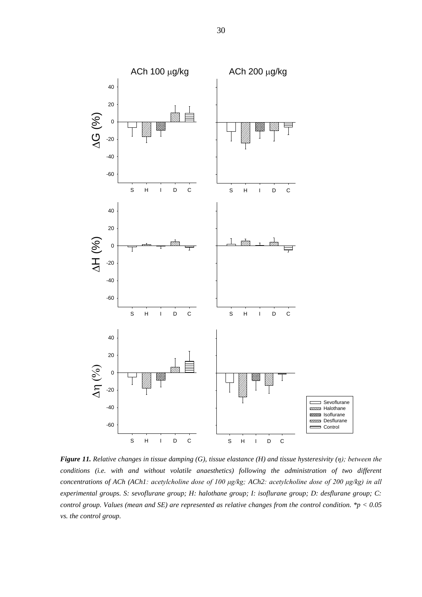

*Figure 11. Relative changes in tissue damping (G), tissue elastance (H) and tissue hysteresivity (η); between the conditions (i.e. with and without volatile anaesthetics) following the administration of two different concentrations of ACh (ACh1: acetylcholine dose of 100 μg/kg; ACh2: acetylcholine dose of 200 μg/kg) in all experimental groups. S: sevoflurane group; H: halothane group; I: isoflurane group; D: desflurane group; C: control group. Values (mean and SE) are represented as relative changes from the control condition. \*p < 0.05 vs. the control group.*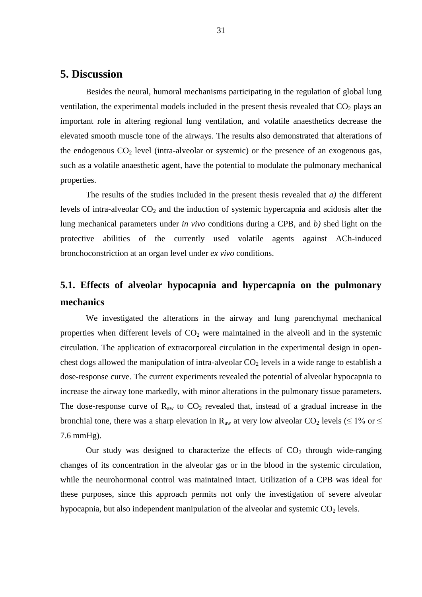### **5. Discussion**

Besides the neural, humoral mechanisms participating in the regulation of global lung ventilation, the experimental models included in the present thesis revealed that  $CO<sub>2</sub>$  plays an important role in altering regional lung ventilation, and volatile anaesthetics decrease the elevated smooth muscle tone of the airways. The results also demonstrated that alterations of the endogenous  $CO<sub>2</sub>$  level (intra-alveolar or systemic) or the presence of an exogenous gas, such as a volatile anaesthetic agent, have the potential to modulate the pulmonary mechanical properties.

The results of the studies included in the present thesis revealed that *a)* the different levels of intra-alveolar  $CO<sub>2</sub>$  and the induction of systemic hypercapnia and acidosis alter the lung mechanical parameters under *in vivo* conditions during a CPB, and *b)* shed light on the protective abilities of the currently used volatile agents against ACh-induced bronchoconstriction at an organ level under *ex vivo* conditions.

# **5.1. Effects of alveolar hypocapnia and hypercapnia on the pulmonary mechanics**

We investigated the alterations in the airway and lung parenchymal mechanical properties when different levels of  $CO<sub>2</sub>$  were maintained in the alveoli and in the systemic circulation. The application of extracorporeal circulation in the experimental design in openchest dogs allowed the manipulation of intra-alveolar  $CO<sub>2</sub>$  levels in a wide range to establish a dose-response curve. The current experiments revealed the potential of alveolar hypocapnia to increase the airway tone markedly, with minor alterations in the pulmonary tissue parameters. The dose-response curve of  $R_{aw}$  to  $CO_2$  revealed that, instead of a gradual increase in the bronchial tone, there was a sharp elevation in R<sub>aw</sub> at very low alveolar CO<sub>2</sub> levels ( $\leq$  1% or  $\leq$ 7.6 mmHg).

Our study was designed to characterize the effects of  $CO<sub>2</sub>$  through wide-ranging changes of its concentration in the alveolar gas or in the blood in the systemic circulation, while the neurohormonal control was maintained intact. Utilization of a CPB was ideal for these purposes, since this approach permits not only the investigation of severe alveolar hypocapnia, but also independent manipulation of the alveolar and systemic  $CO<sub>2</sub>$  levels.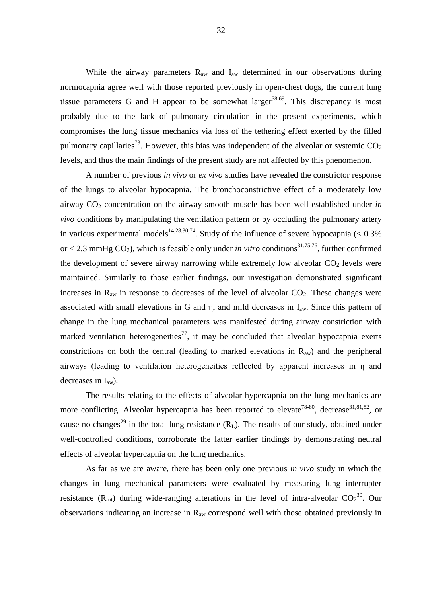While the airway parameters  $R_{aw}$  and  $I_{aw}$  determined in our observations during normocapnia agree well with those reported previously in open-chest dogs, the current lung tissue parameters G and H appear to be somewhat larger<sup>58,69</sup>. This discrepancy is most probably due to the lack of pulmonary circulation in the present experiments, which compromises the lung tissue mechanics via loss of the tethering effect exerted by the filled pulmonary capillaries<sup>73</sup>. However, this bias was independent of the alveolar or systemic  $CO<sub>2</sub>$ levels, and thus the main findings of the present study are not affected by this phenomenon.

A number of previous *in vivo* or *ex vivo* studies have revealed the constrictor response of the lungs to alveolar hypocapnia. The bronchoconstrictive effect of a moderately low airway CO<sub>2</sub> concentration on the airway smooth muscle has been well established under *in vivo* conditions by manipulating the ventilation pattern or by occluding the pulmonary artery in various experimental models<sup>14,28,30,74</sup>. Study of the influence of severe hypocapnia ( $< 0.3\%$ ) or  $<$  2.3 mmHg CO<sub>2</sub>), which is feasible only under *in vitro* conditions<sup>31,75,76</sup>, further confirmed the development of severe airway narrowing while extremely low alveolar  $CO<sub>2</sub>$  levels were maintained. Similarly to those earlier findings, our investigation demonstrated significant increases in  $R_{aw}$  in response to decreases of the level of alveolar  $CO_2$ . These changes were associated with small elevations in G and  $\eta$ , and mild decreases in  $I_{aw}$ . Since this pattern of change in the lung mechanical parameters was manifested during airway constriction with marked ventilation heterogeneities<sup>77</sup>, it may be concluded that alveolar hypocapnia exerts constrictions on both the central (leading to marked elevations in  $R_{aw}$ ) and the peripheral airways (leading to ventilation heterogeneities reflected by apparent increases in η and decreases in  $I_{aw}$ ).

The results relating to the effects of alveolar hypercapnia on the lung mechanics are more conflicting. Alveolar hypercapnia has been reported to elevate<sup>78-80</sup>, decrease<sup>31,81,82</sup>, or cause no changes<sup>29</sup> in the total lung resistance  $(R<sub>L</sub>)$ . The results of our study, obtained under well-controlled conditions, corroborate the latter earlier findings by demonstrating neutral effects of alveolar hypercapnia on the lung mechanics.

As far as we are aware, there has been only one previous *in vivo* study in which the changes in lung mechanical parameters were evaluated by measuring lung interrupter resistance ( $R_{int}$ ) during wide-ranging alterations in the level of intra-alveolar  $CO_2^{30}$ . Our observations indicating an increase in Raw correspond well with those obtained previously in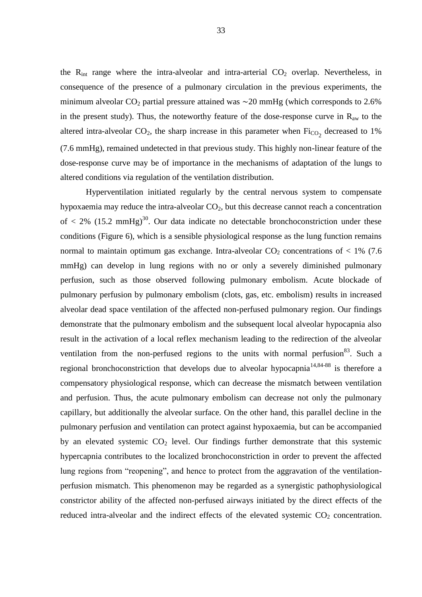the  $R_{int}$  range where the intra-alveolar and intra-arterial  $CO<sub>2</sub>$  overlap. Nevertheless, in consequence of the presence of a pulmonary circulation in the previous experiments, the minimum alveolar  $CO_2$  partial pressure attained was ∼20 mmHg (which corresponds to 2.6% in the present study). Thus, the noteworthy feature of the dose-response curve in  $R_{aw}$  to the altered intra-alveolar  $CO_2$ , the sharp increase in this parameter when  $Fi_{CO_2}$  decreased to 1% (7.6 mmHg), remained undetected in that previous study. This highly non-linear feature of the dose-response curve may be of importance in the mechanisms of adaptation of the lungs to altered conditions via regulation of the ventilation distribution.

Hyperventilation initiated regularly by the central nervous system to compensate hypoxaemia may reduce the intra-alveolar  $CO<sub>2</sub>$ , but this decrease cannot reach a concentration of  $\langle 2\% (15.2 \text{ mmHg})^{30}$ . Our data indicate no detectable bronchoconstriction under these conditions (Figure 6), which is a sensible physiological response as the lung function remains normal to maintain optimum gas exchange. Intra-alveolar  $CO<sub>2</sub>$  concentrations of < 1% (7.6) mmHg) can develop in lung regions with no or only a severely diminished pulmonary perfusion, such as those observed following pulmonary embolism. Acute blockade of pulmonary perfusion by pulmonary embolism (clots, gas, etc. embolism) results in increased alveolar dead space ventilation of the affected non-perfused pulmonary region. Our findings demonstrate that the pulmonary embolism and the subsequent local alveolar hypocapnia also result in the activation of a local reflex mechanism leading to the redirection of the alveolar ventilation from the non-perfused regions to the units with normal perfusion<sup>83</sup>. Such a regional bronchoconstriction that develops due to alveolar hypocapnia<sup>14,84-88</sup> is therefore a compensatory physiological response, which can decrease the mismatch between ventilation and perfusion. Thus, the acute pulmonary embolism can decrease not only the pulmonary capillary, but additionally the alveolar surface. On the other hand, this parallel decline in the pulmonary perfusion and ventilation can protect against hypoxaemia, but can be accompanied by an elevated systemic  $CO<sub>2</sub>$  level. Our findings further demonstrate that this systemic hypercapnia contributes to the localized bronchoconstriction in order to prevent the affected lung regions from "reopening", and hence to protect from the aggravation of the ventilationperfusion mismatch. This phenomenon may be regarded as a synergistic pathophysiological constrictor ability of the affected non-perfused airways initiated by the direct effects of the reduced intra-alveolar and the indirect effects of the elevated systemic  $CO<sub>2</sub>$  concentration.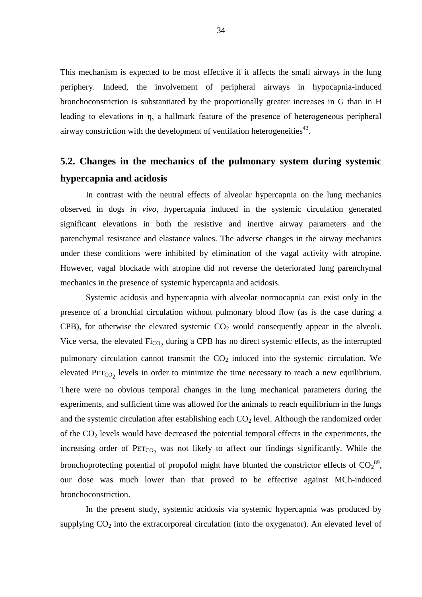This mechanism is expected to be most effective if it affects the small airways in the lung periphery. Indeed, the involvement of peripheral airways in hypocapnia-induced bronchoconstriction is substantiated by the proportionally greater increases in G than in H leading to elevations in η, a hallmark feature of the presence of heterogeneous peripheral airway constriction with the development of ventilation heterogeneities $43$ .

# **5.2. Changes in the mechanics of the pulmonary system during systemic hypercapnia and acidosis**

In contrast with the neutral effects of alveolar hypercapnia on the lung mechanics observed in dogs *in vivo*, hypercapnia induced in the systemic circulation generated significant elevations in both the resistive and inertive airway parameters and the parenchymal resistance and elastance values. The adverse changes in the airway mechanics under these conditions were inhibited by elimination of the vagal activity with atropine. However, vagal blockade with atropine did not reverse the deteriorated lung parenchymal mechanics in the presence of systemic hypercapnia and acidosis.

Systemic acidosis and hypercapnia with alveolar normocapnia can exist only in the presence of a bronchial circulation without pulmonary blood flow (as is the case during a CPB), for otherwise the elevated systemic  $CO<sub>2</sub>$  would consequently appear in the alveoli. Vice versa, the elevated  $\text{Fi}_{\text{CO}_2}$  during a CPB has no direct systemic effects, as the interrupted pulmonary circulation cannot transmit the  $CO<sub>2</sub>$  induced into the systemic circulation. We elevated  $PET_{CO_2}$  levels in order to minimize the time necessary to reach a new equilibrium. There were no obvious temporal changes in the lung mechanical parameters during the experiments, and sufficient time was allowed for the animals to reach equilibrium in the lungs and the systemic circulation after establishing each  $CO<sub>2</sub>$  level. Although the randomized order of the  $CO<sub>2</sub>$  levels would have decreased the potential temporal effects in the experiments, the increasing order of  $PET_{CO_2}$  was not likely to affect our findings significantly. While the bronchoprotecting potential of propofol might have blunted the constrictor effects of  $CO_2^{89}$ , our dose was much lower than that proved to be effective against MCh-induced bronchoconstriction.

In the present study, systemic acidosis via systemic hypercapnia was produced by supplying  $CO<sub>2</sub>$  into the extracorporeal circulation (into the oxygenator). An elevated level of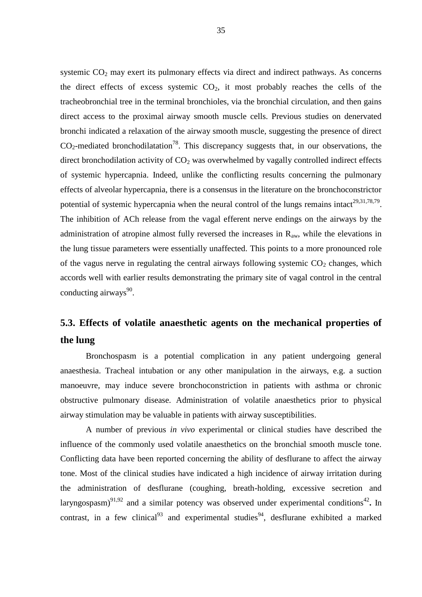systemic  $CO<sub>2</sub>$  may exert its pulmonary effects via direct and indirect pathways. As concerns the direct effects of excess systemic  $CO<sub>2</sub>$ , it most probably reaches the cells of the tracheobronchial tree in the terminal bronchioles, via the bronchial circulation, and then gains direct access to the proximal airway smooth muscle cells. Previous studies on denervated bronchi indicated a relaxation of the airway smooth muscle, suggesting the presence of direct  $CO<sub>2</sub>$ -mediated bronchodilatation<sup>78</sup>. This discrepancy suggests that, in our observations, the direct bronchodilation activity of  $CO<sub>2</sub>$  was overwhelmed by vagally controlled indirect effects of systemic hypercapnia. Indeed, unlike the conflicting results concerning the pulmonary effects of alveolar hypercapnia, there is a consensus in the literature on the bronchoconstrictor potential of systemic hypercapnia when the neural control of the lungs remains intact<sup>29,31,78,79</sup>. The inhibition of ACh release from the vagal efferent nerve endings on the airways by the administration of atropine almost fully reversed the increases in  $R_{aw}$ , while the elevations in the lung tissue parameters were essentially unaffected. This points to a more pronounced role of the vagus nerve in regulating the central airways following systemic  $CO<sub>2</sub>$  changes, which accords well with earlier results demonstrating the primary site of vagal control in the central conducting airways<sup>90</sup>.

# **5.3. Effects of volatile anaesthetic agents on the mechanical properties of the lung**

Bronchospasm is a potential complication in any patient undergoing general anaesthesia. Tracheal intubation or any other manipulation in the airways, e.g. a suction manoeuvre, may induce severe bronchoconstriction in patients with asthma or chronic obstructive pulmonary disease. Administration of volatile anaesthetics prior to physical airway stimulation may be valuable in patients with airway susceptibilities.

A number of previous *in vivo* experimental or clinical studies have described the influence of the commonly used volatile anaesthetics on the bronchial smooth muscle tone. Conflicting data have been reported concerning the ability of desflurane to affect the airway tone. Most of the clinical studies have indicated a high incidence of airway irritation during the administration of desflurane (coughing, breath-holding, excessive secretion and laryngospasm)<sup>91,92</sup> and a similar potency was observed under experimental conditions<sup>42</sup>. In contrast, in a few clinical<sup>93</sup> and experimental studies<sup>94</sup>, desflurane exhibited a marked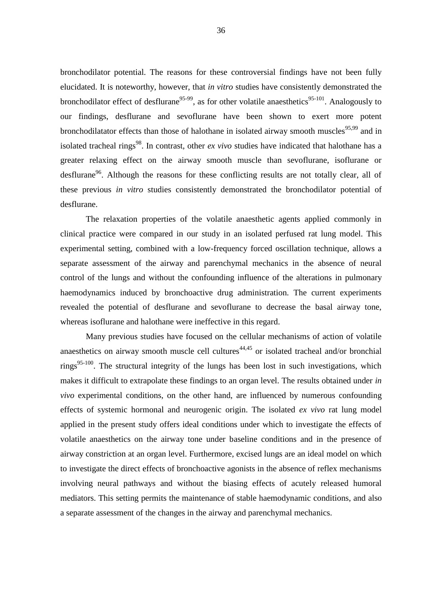bronchodilator potential. The reasons for these controversial findings have not been fully elucidated. It is noteworthy, however, that *in vitro* studies have consistently demonstrated the bronchodilator effect of desflurane<sup>95-99</sup>, as for other volatile anaesthetics<sup>95-101</sup>. Analogously to our findings, desflurane and sevoflurane have been shown to exert more potent bronchodilatator effects than those of halothane in isolated airway smooth muscles<sup>95,99</sup> and in isolated tracheal rings<sup>98</sup>. In contrast, other *ex vivo* studies have indicated that halothane has a greater relaxing effect on the airway smooth muscle than sevoflurane, isoflurane or desflurane<sup>96</sup>. Although the reasons for these conflicting results are not totally clear, all of these previous *in vitro* studies consistently demonstrated the bronchodilator potential of desflurane.

The relaxation properties of the volatile anaesthetic agents applied commonly in clinical practice were compared in our study in an isolated perfused rat lung model. This experimental setting, combined with a low-frequency forced oscillation technique, allows a separate assessment of the airway and parenchymal mechanics in the absence of neural control of the lungs and without the confounding influence of the alterations in pulmonary haemodynamics induced by bronchoactive drug administration. The current experiments revealed the potential of desflurane and sevoflurane to decrease the basal airway tone, whereas isoflurane and halothane were ineffective in this regard.

Many previous studies have focused on the cellular mechanisms of action of volatile anaesthetics on airway smooth muscle cell cultures<sup> $44,45$ </sup> or isolated tracheal and/or bronchial rings<sup>95-100</sup>. The structural integrity of the lungs has been lost in such investigations, which makes it difficult to extrapolate these findings to an organ level. The results obtained under *in vivo* experimental conditions, on the other hand, are influenced by numerous confounding effects of systemic hormonal and neurogenic origin. The isolated *ex vivo* rat lung model applied in the present study offers ideal conditions under which to investigate the effects of volatile anaesthetics on the airway tone under baseline conditions and in the presence of airway constriction at an organ level. Furthermore, excised lungs are an ideal model on which to investigate the direct effects of bronchoactive agonists in the absence of reflex mechanisms involving neural pathways and without the biasing effects of acutely released humoral mediators. This setting permits the maintenance of stable haemodynamic conditions, and also a separate assessment of the changes in the airway and parenchymal mechanics.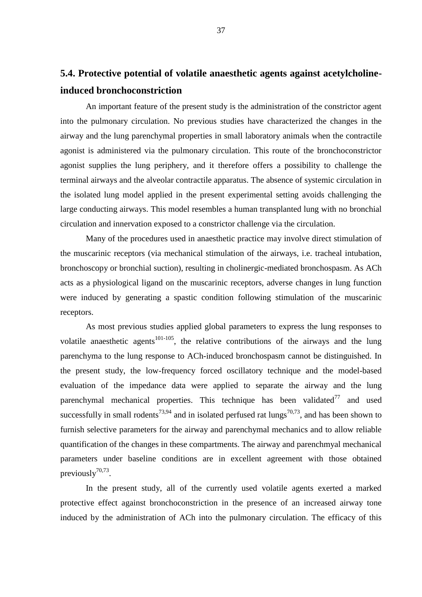# **5.4. Protective potential of volatile anaesthetic agents against acetylcholineinduced bronchoconstriction**

An important feature of the present study is the administration of the constrictor agent into the pulmonary circulation. No previous studies have characterized the changes in the airway and the lung parenchymal properties in small laboratory animals when the contractile agonist is administered via the pulmonary circulation. This route of the bronchoconstrictor agonist supplies the lung periphery, and it therefore offers a possibility to challenge the terminal airways and the alveolar contractile apparatus. The absence of systemic circulation in the isolated lung model applied in the present experimental setting avoids challenging the large conducting airways. This model resembles a human transplanted lung with no bronchial circulation and innervation exposed to a constrictor challenge via the circulation.

Many of the procedures used in anaesthetic practice may involve direct stimulation of the muscarinic receptors (via mechanical stimulation of the airways, i.e. tracheal intubation, bronchoscopy or bronchial suction), resulting in cholinergic-mediated bronchospasm. As ACh acts as a physiological ligand on the muscarinic receptors, adverse changes in lung function were induced by generating a spastic condition following stimulation of the muscarinic receptors.

As most previous studies applied global parameters to express the lung responses to volatile anaesthetic agents<sup>101-105</sup>, the relative contributions of the airways and the lung parenchyma to the lung response to ACh-induced bronchospasm cannot be distinguished. In the present study, the low-frequency forced oscillatory technique and the model-based evaluation of the impedance data were applied to separate the airway and the lung parenchymal mechanical properties. This technique has been validated $<sup>77</sup>$  and used</sup> successfully in small rodents<sup>73,94</sup> and in isolated perfused rat lungs<sup>70,73</sup>, and has been shown to furnish selective parameters for the airway and parenchymal mechanics and to allow reliable quantification of the changes in these compartments. The airway and parenchmyal mechanical parameters under baseline conditions are in excellent agreement with those obtained previously $70,73$ .

In the present study, all of the currently used volatile agents exerted a marked protective effect against bronchoconstriction in the presence of an increased airway tone induced by the administration of ACh into the pulmonary circulation. The efficacy of this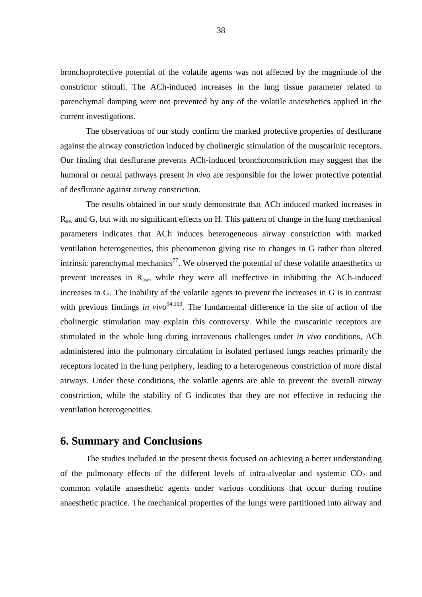bronchoprotective potential of the volatile agents was not affected by the magnitude of the constrictor stimuli. The ACh-induced increases in the lung tissue parameter related to parenchymal damping were not prevented by any of the volatile anaesthetics applied in the current investigations.

The observations of our study confirm the marked protective properties of desflurane against the airway constriction induced by cholinergic stimulation of the muscarinic receptors. Our finding that desflurane prevents ACh-induced bronchoconstriction may suggest that the humoral or neural pathways present *in vivo* are responsible for the lower protective potential of desflurane against airway constriction.

The results obtained in our study demonstrate that ACh induced marked increases in  $R_{aw}$  and G, but with no significant effects on H. This pattern of change in the lung mechanical parameters indicates that ACh induces heterogeneous airway constriction with marked ventilation heterogeneities, this phenomenon giving rise to changes in G rather than altered intrinsic parenchymal mechanics<sup>77</sup>. We observed the potential of these volatile anaesthetics to prevent increases in  $R_{aw}$ , while they were all ineffective in inhibiting the ACh-induced increases in G. The inability of the volatile agents to prevent the increases in G is in contrast with previous findings *in vivo*<sup>94,103</sup>. The fundamental difference in the site of action of the cholinergic stimulation may explain this controversy. While the muscarinic receptors are stimulated in the whole lung during intravenous challenges under *in vivo* conditions, ACh administered into the pulmonary circulation in isolated perfused lungs reaches primarily the receptors located in the lung periphery, leading to a heterogeneous constriction of more distal airways. Under these conditions, the volatile agents are able to prevent the overall airway constriction, while the stability of G indicates that they are not effective in reducing the ventilation heterogeneities.

### **6. Summary and Conclusions**

The studies included in the present thesis focused on achieving a better understanding of the pulmonary effects of the different levels of intra-alveolar and systemic  $CO<sub>2</sub>$  and common volatile anaesthetic agents under various conditions that occur during routine anaesthetic practice. The mechanical properties of the lungs were partitioned into airway and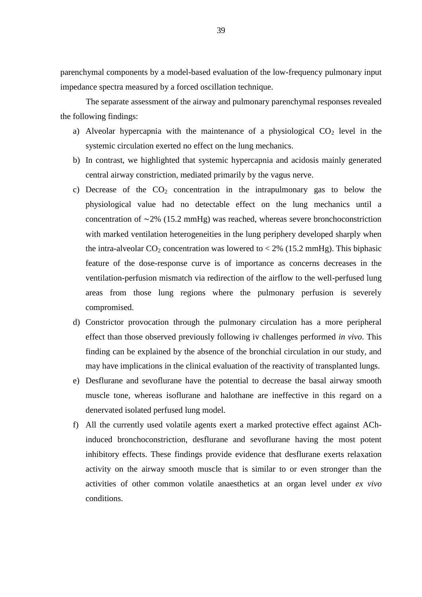parenchymal components by a model-based evaluation of the low-frequency pulmonary input impedance spectra measured by a forced oscillation technique.

The separate assessment of the airway and pulmonary parenchymal responses revealed the following findings:

- a) Alveolar hypercapnia with the maintenance of a physiological  $CO<sub>2</sub>$  level in the systemic circulation exerted no effect on the lung mechanics.
- b) In contrast, we highlighted that systemic hypercapnia and acidosis mainly generated central airway constriction, mediated primarily by the vagus nerve.
- c) Decrease of the  $CO<sub>2</sub>$  concentration in the intrapulmonary gas to below the physiological value had no detectable effect on the lung mechanics until a concentration of ∼2% (15.2 mmHg) was reached, whereas severe bronchoconstriction with marked ventilation heterogeneities in the lung periphery developed sharply when the intra-alveolar  $CO_2$  concentration was lowered to  $< 2\%$  (15.2 mmHg). This biphasic feature of the dose-response curve is of importance as concerns decreases in the ventilation-perfusion mismatch via redirection of the airflow to the well-perfused lung areas from those lung regions where the pulmonary perfusion is severely compromised.
- d) Constrictor provocation through the pulmonary circulation has a more peripheral effect than those observed previously following iv challenges performed *in vivo*. This finding can be explained by the absence of the bronchial circulation in our study, and may have implications in the clinical evaluation of the reactivity of transplanted lungs.
- e) Desflurane and sevoflurane have the potential to decrease the basal airway smooth muscle tone, whereas isoflurane and halothane are ineffective in this regard on a denervated isolated perfused lung model.
- f) All the currently used volatile agents exert a marked protective effect against AChinduced bronchoconstriction, desflurane and sevoflurane having the most potent inhibitory effects. These findings provide evidence that desflurane exerts relaxation activity on the airway smooth muscle that is similar to or even stronger than the activities of other common volatile anaesthetics at an organ level under *ex vivo* conditions.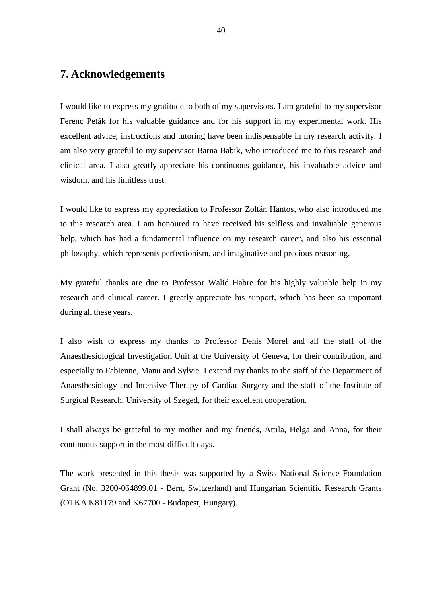### **7. Acknowledgements**

I would like to express my gratitude to both of my supervisors. I am grateful to my supervisor Ferenc Peták for his valuable guidance and for his support in my experimental work. His excellent advice, instructions and tutoring have been indispensable in my research activity. I am also very grateful to my supervisor Barna Babik, who introduced me to this research and clinical area. I also greatly appreciate his continuous guidance, his invaluable advice and wisdom, and his limitless trust.

I would like to express my appreciation to Professor Zoltán Hantos, who also introduced me to this research area. I am honoured to have received his selfless and invaluable generous help, which has had a fundamental influence on my research career, and also his essential philosophy, which represents perfectionism, and imaginative and precious reasoning.

My grateful thanks are due to Professor Walid Habre for his highly valuable help in my research and clinical career. I greatly appreciate his support, which has been so important during all these years.

I also wish to express my thanks to Professor Denis Morel and all the staff of the Anaesthesiological Investigation Unit at the University of Geneva, for their contribution, and especially to Fabienne, Manu and Sylvie. I extend my thanks to the staff of the Department of Anaesthesiology and Intensive Therapy of Cardiac Surgery and the staff of the Institute of Surgical Research, University of Szeged, for their excellent cooperation.

I shall always be grateful to my mother and my friends, Attila, Helga and Anna, for their continuous support in the most difficult days.

The work presented in this thesis was supported by a Swiss National Science Foundation Grant (No. 3200-064899.01 - Bern, Switzerland) and Hungarian Scientific Research Grants (OTKA K81179 and K67700 - Budapest, Hungary).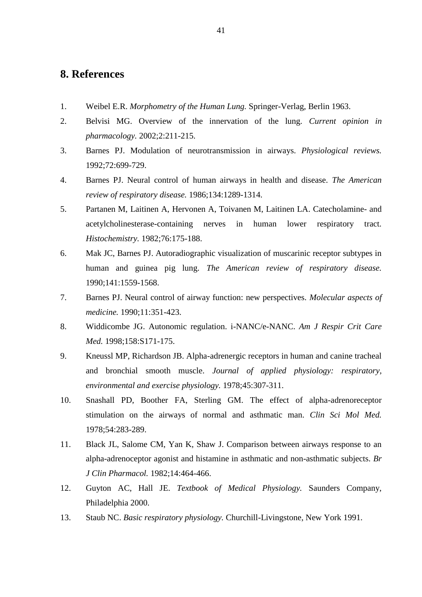### **8. References**

- 1. Weibel E.R. *Morphometry of the Human Lung.* Springer-Verlag, Berlin 1963.
- 2. Belvisi MG. Overview of the innervation of the lung. *Current opinion in pharmacology.* 2002;2:211-215.
- 3. Barnes PJ. Modulation of neurotransmission in airways. *Physiological reviews.*  1992;72:699-729.
- 4. Barnes PJ. Neural control of human airways in health and disease. *The American review of respiratory disease.* 1986;134:1289-1314.
- 5. Partanen M, Laitinen A, Hervonen A, Toivanen M, Laitinen LA. Catecholamine- and acetylcholinesterase-containing nerves in human lower respiratory tract. *Histochemistry.* 1982;76:175-188.
- 6. Mak JC, Barnes PJ. Autoradiographic visualization of muscarinic receptor subtypes in human and guinea pig lung. *The American review of respiratory disease.*  1990;141:1559-1568.
- 7. Barnes PJ. Neural control of airway function: new perspectives. *Molecular aspects of medicine.* 1990;11:351-423.
- 8. Widdicombe JG. Autonomic regulation. i-NANC/e-NANC. *Am J Respir Crit Care Med.* 1998;158:S171-175.
- 9. Kneussl MP, Richardson JB. Alpha-adrenergic receptors in human and canine tracheal and bronchial smooth muscle. *Journal of applied physiology: respiratory, environmental and exercise physiology.* 1978;45:307-311.
- 10. Snashall PD, Boother FA, Sterling GM. The effect of alpha-adrenoreceptor stimulation on the airways of normal and asthmatic man. *Clin Sci Mol Med.*  1978;54:283-289.
- 11. Black JL, Salome CM, Yan K, Shaw J. Comparison between airways response to an alpha-adrenoceptor agonist and histamine in asthmatic and non-asthmatic subjects. *Br J Clin Pharmacol.* 1982;14:464-466.
- 12. Guyton AC, Hall JE. *Textbook of Medical Physiology.* Saunders Company, Philadelphia 2000.
- 13. Staub NC. *Basic respiratory physiology.* Churchill-Livingstone, New York 1991.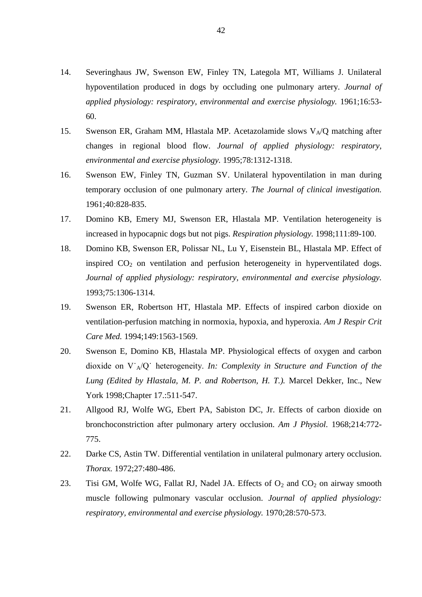- 14. Severinghaus JW, Swenson EW, Finley TN, Lategola MT, Williams J. Unilateral hypoventilation produced in dogs by occluding one pulmonary artery. *Journal of applied physiology: respiratory, environmental and exercise physiology.* 1961;16:53- 60.
- 15. Swenson ER, Graham MM, Hlastala MP. Acetazolamide slows  $V_A/Q$  matching after changes in regional blood flow. *Journal of applied physiology: respiratory, environmental and exercise physiology.* 1995;78:1312-1318.
- 16. Swenson EW, Finley TN, Guzman SV. Unilateral hypoventilation in man during temporary occlusion of one pulmonary artery. *The Journal of clinical investigation.*  1961;40:828-835.
- 17. Domino KB, Emery MJ, Swenson ER, Hlastala MP. Ventilation heterogeneity is increased in hypocapnic dogs but not pigs. *Respiration physiology.* 1998;111:89-100.
- 18. Domino KB, Swenson ER, Polissar NL, Lu Y, Eisenstein BL, Hlastala MP. Effect of inspired  $CO<sub>2</sub>$  on ventilation and perfusion heterogeneity in hyperventilated dogs. *Journal of applied physiology: respiratory, environmental and exercise physiology.*  1993;75:1306-1314.
- 19. Swenson ER, Robertson HT, Hlastala MP. Effects of inspired carbon dioxide on ventilation-perfusion matching in normoxia, hypoxia, and hyperoxia. *Am J Respir Crit Care Med.* 1994;149:1563-1569.
- 20. Swenson E, Domino KB, Hlastala MP. Physiological effects of oxygen and carbon dioxide on V˙A/Q˙ heterogeneity. *In: Complexity in Structure and Function of the Lung (Edited by Hlastala, M. P. and Robertson, H. T.).* Marcel Dekker, Inc., New York 1998;Chapter 17.:511-547.
- 21. Allgood RJ, Wolfe WG, Ebert PA, Sabiston DC, Jr. Effects of carbon dioxide on bronchoconstriction after pulmonary artery occlusion. *Am J Physiol.* 1968;214:772- 775.
- 22. Darke CS, Astin TW. Differential ventilation in unilateral pulmonary artery occlusion. *Thorax.* 1972;27:480-486.
- 23. Tisi GM, Wolfe WG, Fallat RJ, Nadel JA. Effects of  $O_2$  and  $CO_2$  on airway smooth muscle following pulmonary vascular occlusion. *Journal of applied physiology: respiratory, environmental and exercise physiology.* 1970;28:570-573.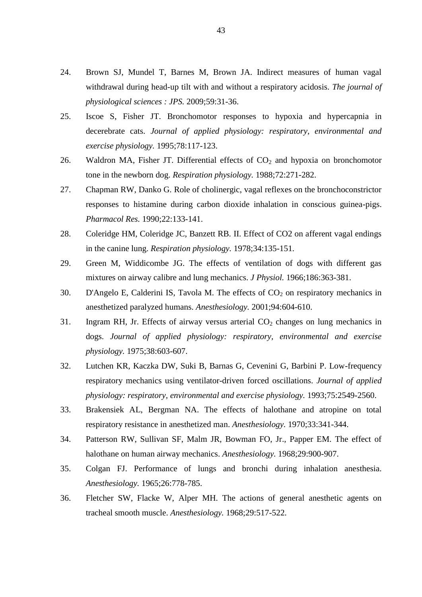- 24. Brown SJ, Mundel T, Barnes M, Brown JA. Indirect measures of human vagal withdrawal during head-up tilt with and without a respiratory acidosis. *The journal of physiological sciences : JPS.* 2009;59:31-36.
- 25. Iscoe S, Fisher JT. Bronchomotor responses to hypoxia and hypercapnia in decerebrate cats. *Journal of applied physiology: respiratory, environmental and exercise physiology.* 1995;78:117-123.
- 26. Waldron MA, Fisher JT. Differential effects of  $CO<sub>2</sub>$  and hypoxia on bronchomotor tone in the newborn dog. *Respiration physiology.* 1988;72:271-282.
- 27. Chapman RW, Danko G. Role of cholinergic, vagal reflexes on the bronchoconstrictor responses to histamine during carbon dioxide inhalation in conscious guinea-pigs. *Pharmacol Res.* 1990;22:133-141.
- 28. Coleridge HM, Coleridge JC, Banzett RB. II. Effect of CO2 on afferent vagal endings in the canine lung. *Respiration physiology.* 1978;34:135-151.
- 29. Green M, Widdicombe JG. The effects of ventilation of dogs with different gas mixtures on airway calibre and lung mechanics. *J Physiol.* 1966;186:363-381.
- 30. D'Angelo E, Calderini IS, Tavola M. The effects of  $CO<sub>2</sub>$  on respiratory mechanics in anesthetized paralyzed humans. *Anesthesiology.* 2001;94:604-610.
- 31. Ingram RH, Jr. Effects of airway versus arterial  $CO<sub>2</sub>$  changes on lung mechanics in dogs. *Journal of applied physiology: respiratory, environmental and exercise physiology.* 1975;38:603-607.
- 32. Lutchen KR, Kaczka DW, Suki B, Barnas G, Cevenini G, Barbini P. Low-frequency respiratory mechanics using ventilator-driven forced oscillations. *Journal of applied physiology: respiratory, environmental and exercise physiology.* 1993;75:2549-2560.
- 33. Brakensiek AL, Bergman NA. The effects of halothane and atropine on total respiratory resistance in anesthetized man. *Anesthesiology.* 1970;33:341-344.
- 34. Patterson RW, Sullivan SF, Malm JR, Bowman FO, Jr., Papper EM. The effect of halothane on human airway mechanics. *Anesthesiology.* 1968;29:900-907.
- 35. Colgan FJ. Performance of lungs and bronchi during inhalation anesthesia. *Anesthesiology.* 1965;26:778-785.
- 36. Fletcher SW, Flacke W, Alper MH. The actions of general anesthetic agents on tracheal smooth muscle. *Anesthesiology.* 1968;29:517-522.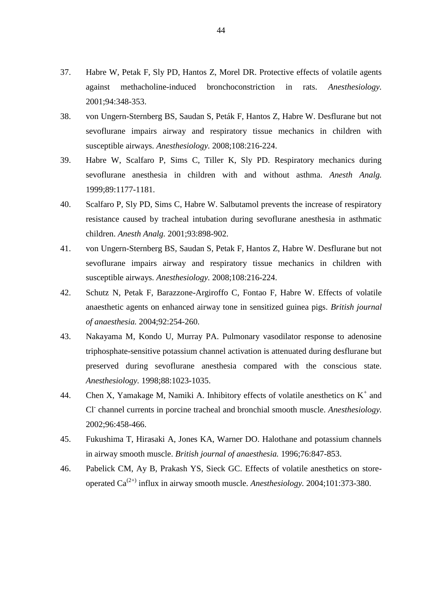- 37. Habre W, Petak F, Sly PD, Hantos Z, Morel DR. Protective effects of volatile agents against methacholine-induced bronchoconstriction in rats. *Anesthesiology.*  2001;94:348-353.
- 38. von Ungern-Sternberg BS, Saudan S, Peták F, Hantos Z, Habre W. Desflurane but not sevoflurane impairs airway and respiratory tissue mechanics in children with susceptible airways. *Anesthesiology.* 2008;108:216-224.
- 39. Habre W, Scalfaro P, Sims C, Tiller K, Sly PD. Respiratory mechanics during sevoflurane anesthesia in children with and without asthma. *Anesth Analg.*  1999;89:1177-1181.
- 40. Scalfaro P, Sly PD, Sims C, Habre W. Salbutamol prevents the increase of respiratory resistance caused by tracheal intubation during sevoflurane anesthesia in asthmatic children. *Anesth Analg.* 2001;93:898-902.
- 41. von Ungern-Sternberg BS, Saudan S, Petak F, Hantos Z, Habre W. Desflurane but not sevoflurane impairs airway and respiratory tissue mechanics in children with susceptible airways. *Anesthesiology.* 2008;108:216-224.
- 42. Schutz N, Petak F, Barazzone-Argiroffo C, Fontao F, Habre W. Effects of volatile anaesthetic agents on enhanced airway tone in sensitized guinea pigs. *British journal of anaesthesia.* 2004;92:254-260.
- 43. Nakayama M, Kondo U, Murray PA. Pulmonary vasodilator response to adenosine triphosphate-sensitive potassium channel activation is attenuated during desflurane but preserved during sevoflurane anesthesia compared with the conscious state. *Anesthesiology.* 1998;88:1023-1035.
- 44. Chen X, Yamakage M, Namiki A. Inhibitory effects of volatile anesthetics on  $K^+$  and Cl<sup>-</sup> channel currents in porcine tracheal and bronchial smooth muscle. *Anesthesiology*. 2002;96:458-466.
- 45. Fukushima T, Hirasaki A, Jones KA, Warner DO. Halothane and potassium channels in airway smooth muscle. *British journal of anaesthesia.* 1996;76:847-853.
- 46. Pabelick CM, Ay B, Prakash YS, Sieck GC. Effects of volatile anesthetics on storeoperated  $Ca^{(2+)}$  influx in airway smooth muscle. *Anesthesiology*. 2004;101:373-380.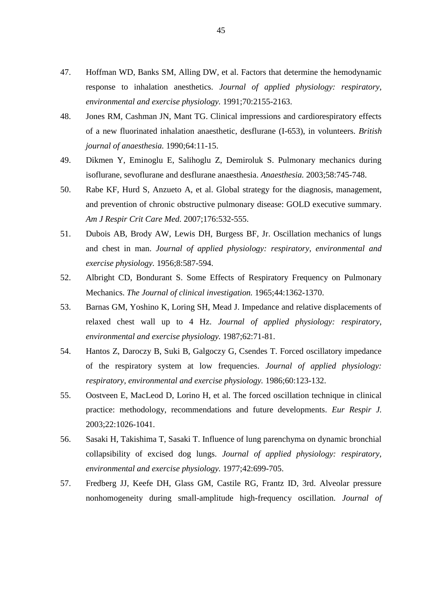- 47. Hoffman WD, Banks SM, Alling DW, et al. Factors that determine the hemodynamic response to inhalation anesthetics. *Journal of applied physiology: respiratory, environmental and exercise physiology.* 1991;70:2155-2163.
- 48. Jones RM, Cashman JN, Mant TG. Clinical impressions and cardiorespiratory effects of a new fluorinated inhalation anaesthetic, desflurane (I-653), in volunteers. *British journal of anaesthesia.* 1990;64:11-15.
- 49. Dikmen Y, Eminoglu E, Salihoglu Z, Demiroluk S. Pulmonary mechanics during isoflurane, sevoflurane and desflurane anaesthesia. *Anaesthesia.* 2003;58:745-748.
- 50. Rabe KF, Hurd S, Anzueto A, et al. Global strategy for the diagnosis, management, and prevention of chronic obstructive pulmonary disease: GOLD executive summary. *Am J Respir Crit Care Med.* 2007;176:532-555.
- 51. Dubois AB, Brody AW, Lewis DH, Burgess BF, Jr. Oscillation mechanics of lungs and chest in man. *Journal of applied physiology: respiratory, environmental and exercise physiology.* 1956;8:587-594.
- 52. Albright CD, Bondurant S. Some Effects of Respiratory Frequency on Pulmonary Mechanics. *The Journal of clinical investigation.* 1965;44:1362-1370.
- 53. Barnas GM, Yoshino K, Loring SH, Mead J. Impedance and relative displacements of relaxed chest wall up to 4 Hz. *Journal of applied physiology: respiratory, environmental and exercise physiology.* 1987;62:71-81.
- 54. Hantos Z, Daroczy B, Suki B, Galgoczy G, Csendes T. Forced oscillatory impedance of the respiratory system at low frequencies. *Journal of applied physiology: respiratory, environmental and exercise physiology.* 1986;60:123-132.
- 55. Oostveen E, MacLeod D, Lorino H, et al. The forced oscillation technique in clinical practice: methodology, recommendations and future developments. *Eur Respir J.*  2003;22:1026-1041.
- 56. Sasaki H, Takishima T, Sasaki T. Influence of lung parenchyma on dynamic bronchial collapsibility of excised dog lungs. *Journal of applied physiology: respiratory, environmental and exercise physiology.* 1977;42:699-705.
- 57. Fredberg JJ, Keefe DH, Glass GM, Castile RG, Frantz ID, 3rd. Alveolar pressure nonhomogeneity during small-amplitude high-frequency oscillation. *Journal of*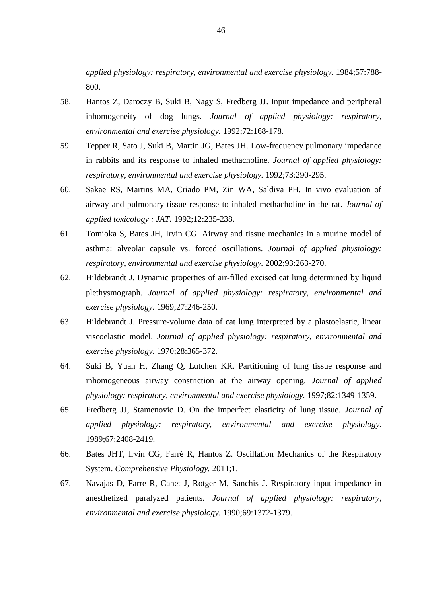*applied physiology: respiratory, environmental and exercise physiology.* 1984;57:788- 800.

- 58. Hantos Z, Daroczy B, Suki B, Nagy S, Fredberg JJ. Input impedance and peripheral inhomogeneity of dog lungs. *Journal of applied physiology: respiratory, environmental and exercise physiology.* 1992;72:168-178.
- 59. Tepper R, Sato J, Suki B, Martin JG, Bates JH. Low-frequency pulmonary impedance in rabbits and its response to inhaled methacholine. *Journal of applied physiology: respiratory, environmental and exercise physiology.* 1992;73:290-295.
- 60. Sakae RS, Martins MA, Criado PM, Zin WA, Saldiva PH. In vivo evaluation of airway and pulmonary tissue response to inhaled methacholine in the rat. *Journal of applied toxicology : JAT.* 1992;12:235-238.
- 61. Tomioka S, Bates JH, Irvin CG. Airway and tissue mechanics in a murine model of asthma: alveolar capsule vs. forced oscillations. *Journal of applied physiology: respiratory, environmental and exercise physiology.* 2002;93:263-270.
- 62. Hildebrandt J. Dynamic properties of air-filled excised cat lung determined by liquid plethysmograph. *Journal of applied physiology: respiratory, environmental and exercise physiology.* 1969;27:246-250.
- 63. Hildebrandt J. Pressure-volume data of cat lung interpreted by a plastoelastic, linear viscoelastic model. *Journal of applied physiology: respiratory, environmental and exercise physiology.* 1970;28:365-372.
- 64. Suki B, Yuan H, Zhang Q, Lutchen KR. Partitioning of lung tissue response and inhomogeneous airway constriction at the airway opening. *Journal of applied physiology: respiratory, environmental and exercise physiology.* 1997;82:1349-1359.
- 65. Fredberg JJ, Stamenovic D. On the imperfect elasticity of lung tissue. *Journal of applied physiology: respiratory, environmental and exercise physiology.*  1989;67:2408-2419.
- 66. Bates JHT, Irvin CG, Farré R, Hantos Z. Oscillation Mechanics of the Respiratory System. *Comprehensive Physiology.* 2011;1.
- 67. Navajas D, Farre R, Canet J, Rotger M, Sanchis J. Respiratory input impedance in anesthetized paralyzed patients. *Journal of applied physiology: respiratory, environmental and exercise physiology.* 1990;69:1372-1379.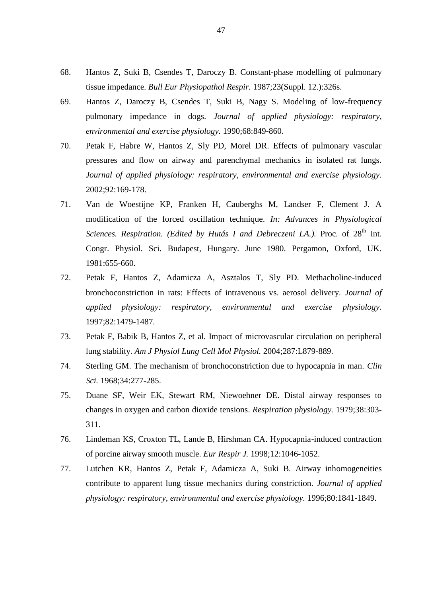- 68. Hantos Z, Suki B, Csendes T, Daroczy B. Constant-phase modelling of pulmonary tissue impedance. *Bull Eur Physiopathol Respir.* 1987;23(Suppl. 12.):326s.
- 69. Hantos Z, Daroczy B, Csendes T, Suki B, Nagy S. Modeling of low-frequency pulmonary impedance in dogs. *Journal of applied physiology: respiratory, environmental and exercise physiology.* 1990;68:849-860.
- 70. Petak F, Habre W, Hantos Z, Sly PD, Morel DR. Effects of pulmonary vascular pressures and flow on airway and parenchymal mechanics in isolated rat lungs. *Journal of applied physiology: respiratory, environmental and exercise physiology.*  2002;92:169-178.
- 71. Van de Woestijne KP, Franken H, Cauberghs M, Landser F, Clement J. A modification of the forced oscillation technique. *In: Advances in Physiological Sciences. Respiration. (Edited by Hutás I and Debreczeni LA.). Proc. of 28<sup>th</sup> Int.* Congr. Physiol. Sci. Budapest, Hungary. June 1980. Pergamon, Oxford, UK. 1981:655-660.
- 72. Petak F, Hantos Z, Adamicza A, Asztalos T, Sly PD. Methacholine-induced bronchoconstriction in rats: Effects of intravenous vs. aerosol delivery. *Journal of applied physiology: respiratory, environmental and exercise physiology.*  1997;82:1479-1487.
- 73. Petak F, Babik B, Hantos Z, et al. Impact of microvascular circulation on peripheral lung stability. *Am J Physiol Lung Cell Mol Physiol.* 2004;287:L879-889.
- 74. Sterling GM. The mechanism of bronchoconstriction due to hypocapnia in man. *Clin Sci.* 1968;34:277-285.
- 75. Duane SF, Weir EK, Stewart RM, Niewoehner DE. Distal airway responses to changes in oxygen and carbon dioxide tensions. *Respiration physiology.* 1979;38:303- 311.
- 76. Lindeman KS, Croxton TL, Lande B, Hirshman CA. Hypocapnia-induced contraction of porcine airway smooth muscle. *Eur Respir J.* 1998;12:1046-1052.
- 77. Lutchen KR, Hantos Z, Petak F, Adamicza A, Suki B. Airway inhomogeneities contribute to apparent lung tissue mechanics during constriction. *Journal of applied physiology: respiratory, environmental and exercise physiology.* 1996;80:1841-1849.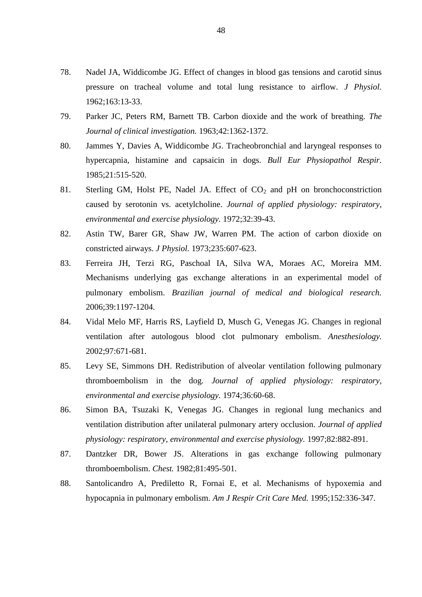- 78. Nadel JA, Widdicombe JG. Effect of changes in blood gas tensions and carotid sinus pressure on tracheal volume and total lung resistance to airflow. *J Physiol.*  1962;163:13-33.
- 79. Parker JC, Peters RM, Barnett TB. Carbon dioxide and the work of breathing. *The Journal of clinical investigation.* 1963;42:1362-1372.
- 80. Jammes Y, Davies A, Widdicombe JG. Tracheobronchial and laryngeal responses to hypercapnia, histamine and capsaicin in dogs. *Bull Eur Physiopathol Respir.*  1985;21:515-520.
- 81. Sterling GM, Holst PE, Nadel JA. Effect of  $CO<sub>2</sub>$  and pH on bronchoconstriction caused by serotonin vs. acetylcholine. *Journal of applied physiology: respiratory, environmental and exercise physiology.* 1972;32:39-43.
- 82. Astin TW, Barer GR, Shaw JW, Warren PM. The action of carbon dioxide on constricted airways. *J Physiol.* 1973;235:607-623.
- 83. Ferreira JH, Terzi RG, Paschoal IA, Silva WA, Moraes AC, Moreira MM. Mechanisms underlying gas exchange alterations in an experimental model of pulmonary embolism. *Brazilian journal of medical and biological research.*  2006;39:1197-1204.
- 84. Vidal Melo MF, Harris RS, Layfield D, Musch G, Venegas JG. Changes in regional ventilation after autologous blood clot pulmonary embolism. *Anesthesiology.*  2002;97:671-681.
- 85. Levy SE, Simmons DH. Redistribution of alveolar ventilation following pulmonary thromboembolism in the dog. *Journal of applied physiology: respiratory, environmental and exercise physiology.* 1974;36:60-68.
- 86. Simon BA, Tsuzaki K, Venegas JG. Changes in regional lung mechanics and ventilation distribution after unilateral pulmonary artery occlusion. *Journal of applied physiology: respiratory, environmental and exercise physiology.* 1997;82:882-891.
- 87. Dantzker DR, Bower JS. Alterations in gas exchange following pulmonary thromboembolism. *Chest.* 1982;81:495-501.
- 88. Santolicandro A, Prediletto R, Fornai E, et al. Mechanisms of hypoxemia and hypocapnia in pulmonary embolism. *Am J Respir Crit Care Med.* 1995;152:336-347.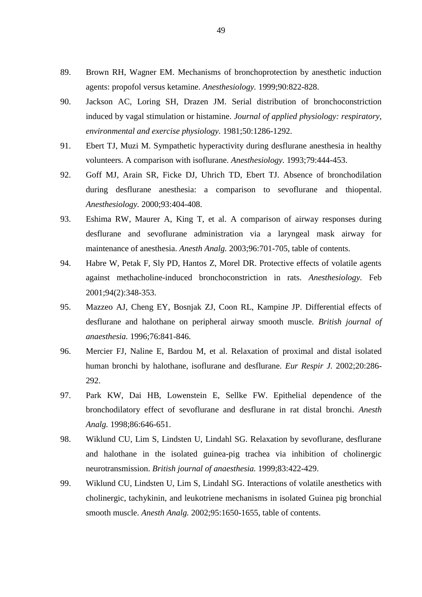- 89. Brown RH, Wagner EM. Mechanisms of bronchoprotection by anesthetic induction agents: propofol versus ketamine. *Anesthesiology.* 1999;90:822-828.
- 90. Jackson AC, Loring SH, Drazen JM. Serial distribution of bronchoconstriction induced by vagal stimulation or histamine. *Journal of applied physiology: respiratory, environmental and exercise physiology.* 1981;50:1286-1292.
- 91. Ebert TJ, Muzi M. Sympathetic hyperactivity during desflurane anesthesia in healthy volunteers. A comparison with isoflurane. *Anesthesiology.* 1993;79:444-453.
- 92. Goff MJ, Arain SR, Ficke DJ, Uhrich TD, Ebert TJ. Absence of bronchodilation during desflurane anesthesia: a comparison to sevoflurane and thiopental. *Anesthesiology.* 2000;93:404-408.
- 93. Eshima RW, Maurer A, King T, et al. A comparison of airway responses during desflurane and sevoflurane administration via a laryngeal mask airway for maintenance of anesthesia. *Anesth Analg.* 2003;96:701-705, table of contents.
- 94. Habre W, Petak F, Sly PD, Hantos Z, Morel DR. Protective effects of volatile agents against methacholine-induced bronchoconstriction in rats. *Anesthesiology.* Feb 2001;94(2):348-353.
- 95. Mazzeo AJ, Cheng EY, Bosnjak ZJ, Coon RL, Kampine JP. Differential effects of desflurane and halothane on peripheral airway smooth muscle. *British journal of anaesthesia.* 1996;76:841-846.
- 96. Mercier FJ, Naline E, Bardou M, et al. Relaxation of proximal and distal isolated human bronchi by halothane, isoflurane and desflurane. *Eur Respir J.* 2002;20:286- 292.
- 97. Park KW, Dai HB, Lowenstein E, Sellke FW. Epithelial dependence of the bronchodilatory effect of sevoflurane and desflurane in rat distal bronchi. *Anesth Analg.* 1998;86:646-651.
- 98. Wiklund CU, Lim S, Lindsten U, Lindahl SG. Relaxation by sevoflurane, desflurane and halothane in the isolated guinea-pig trachea via inhibition of cholinergic neurotransmission. *British journal of anaesthesia.* 1999;83:422-429.
- 99. Wiklund CU, Lindsten U, Lim S, Lindahl SG. Interactions of volatile anesthetics with cholinergic, tachykinin, and leukotriene mechanisms in isolated Guinea pig bronchial smooth muscle. *Anesth Analg.* 2002;95:1650-1655, table of contents.